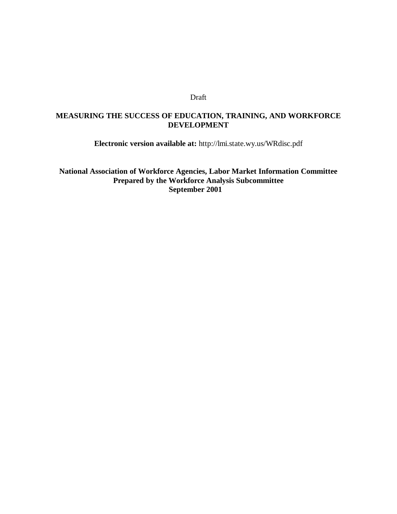### Draft

# **MEASURING THE SUCCESS OF EDUCATION, TRAINING, AND WORKFORCE DEVELOPMENT**

**Electronic version available at:** http://lmi.state.wy.us/WRdisc.pdf

**National Association of Workforce Agencies, Labor Market Information Committee Prepared by the Workforce Analysis Subcommittee September 2001**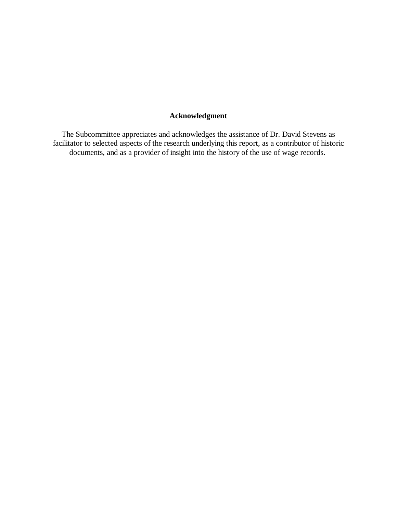# **Acknowledgment**

The Subcommittee appreciates and acknowledges the assistance of Dr. David Stevens as facilitator to selected aspects of the research underlying this report, as a contributor of historic documents, and as a provider of insight into the history of the use of wage records.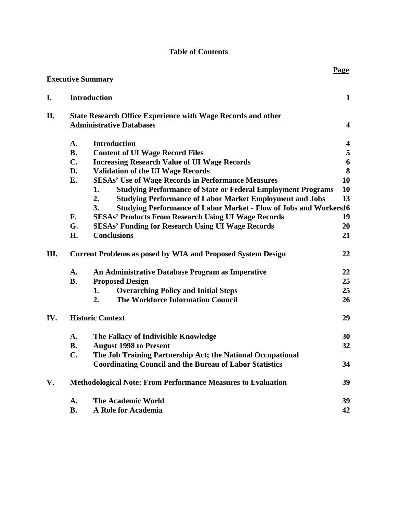# **Table of Contents**

|     |                                                                          | <b>Executive Summary</b>                                                       | <b>Page</b>             |  |  |
|-----|--------------------------------------------------------------------------|--------------------------------------------------------------------------------|-------------------------|--|--|
| I.  |                                                                          | <b>Introduction</b>                                                            | $\mathbf{1}$            |  |  |
| П.  |                                                                          | <b>State Research Office Experience with Wage Records and other</b>            | $\overline{\mathbf{4}}$ |  |  |
|     | <b>Administrative Databases</b>                                          |                                                                                |                         |  |  |
|     | A.                                                                       | <b>Introduction</b>                                                            | $\overline{\mathbf{4}}$ |  |  |
|     | <b>B.</b>                                                                | <b>Content of UI Wage Record Files</b>                                         | 5                       |  |  |
|     | $C_{\bullet}$                                                            | <b>Increasing Research Value of UI Wage Records</b>                            | $\boldsymbol{6}$        |  |  |
|     | D.                                                                       | <b>Validation of the UI Wage Records</b>                                       | 8                       |  |  |
|     | Е.                                                                       | <b>SESAs' Use of Wage Records in Performance Measures</b>                      | 10                      |  |  |
|     |                                                                          | <b>Studying Performance of State or Federal Employment Programs</b><br>1.      | 10                      |  |  |
|     |                                                                          | 2.<br><b>Studying Performance of Labor Market Employment and Jobs</b>          | 13                      |  |  |
|     |                                                                          | <b>Studying Performance of Labor Market - Flow of Jobs and Workers16</b><br>3. |                         |  |  |
|     | F.                                                                       | <b>SESAs' Products From Research Using UI Wage Records</b>                     | 19                      |  |  |
|     | G.                                                                       | <b>SESAs' Funding for Research Using UI Wage Records</b>                       | 20                      |  |  |
|     | H.                                                                       | <b>Conclusions</b>                                                             | 21                      |  |  |
| Ш.  | 22<br><b>Current Problems as posed by WIA and Proposed System Design</b> |                                                                                |                         |  |  |
|     | A.                                                                       | An Administrative Database Program as Imperative                               | 22                      |  |  |
|     | <b>B.</b>                                                                | <b>Proposed Design</b>                                                         | 25                      |  |  |
|     |                                                                          | <b>Overarching Policy and Initial Steps</b><br>1.                              | 25                      |  |  |
|     |                                                                          | <b>The Workforce Information Council</b><br>2.                                 | 26                      |  |  |
| IV. |                                                                          | <b>Historic Context</b>                                                        | 29                      |  |  |
|     | A.                                                                       | The Fallacy of Indivisible Knowledge                                           | 30                      |  |  |
|     | <b>B.</b>                                                                | <b>August 1998 to Present</b>                                                  | 32                      |  |  |
|     | C.                                                                       | The Job Training Partnership Act; the National Occupational                    |                         |  |  |
|     |                                                                          | <b>Coordinating Council and the Bureau of Labor Statistics</b>                 | 34                      |  |  |
| V.  |                                                                          | <b>Methodological Note: From Performance Measures to Evaluation</b>            | 39                      |  |  |
|     | A.                                                                       | <b>The Academic World</b>                                                      | 39                      |  |  |
|     | <b>B.</b>                                                                | A Role for Academia                                                            | 42                      |  |  |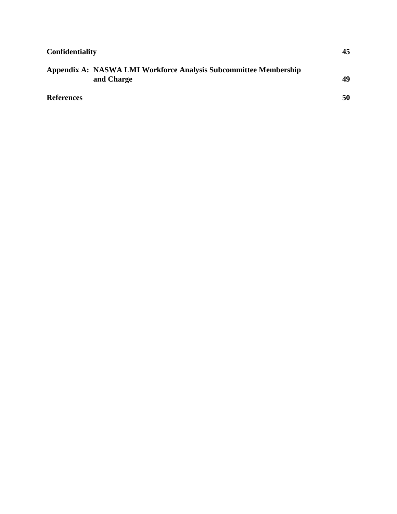| <b>Confidentiality</b> |                                                                                |    |
|------------------------|--------------------------------------------------------------------------------|----|
|                        | Appendix A: NASWA LMI Workforce Analysis Subcommittee Membership<br>and Charge | 49 |
| <b>References</b>      |                                                                                | 50 |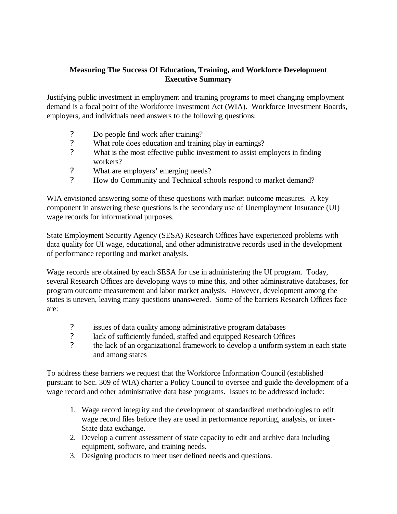# **Measuring The Success Of Education, Training, and Workforce Development Executive Summary**

Justifying public investment in employment and training programs to meet changing employment demand is a focal point of the Workforce Investment Act (WIA). Workforce Investment Boards, employers, and individuals need answers to the following questions:

- ? Do people find work after training?
- ? What role does education and training play in earnings?
- ? What is the most effective public investment to assist employers in finding workers?
- ? What are employers' emerging needs?
- ? How do Community and Technical schools respond to market demand?

WIA envisioned answering some of these questions with market outcome measures. A key component in answering these questions is the secondary use of Unemployment Insurance (UI) wage records for informational purposes.

State Employment Security Agency (SESA) Research Offices have experienced problems with data quality for UI wage, educational, and other administrative records used in the development of performance reporting and market analysis.

Wage records are obtained by each SESA for use in administering the UI program. Today, several Research Offices are developing ways to mine this, and other administrative databases, for program outcome measurement and labor market analysis. However, development among the states is uneven, leaving many questions unanswered. Some of the barriers Research Offices face are:

- ? issues of data quality among administrative program databases
- ? lack of sufficiently funded, staffed and equipped Research Offices
- ? the lack of an organizational framework to develop a uniform system in each state and among states

To address these barriers we request that the Workforce Information Council (established pursuant to Sec. 309 of WIA) charter a Policy Council to oversee and guide the development of a wage record and other administrative data base programs. Issues to be addressed include:

- 1. Wage record integrity and the development of standardized methodologies to edit wage record files before they are used in performance reporting, analysis, or inter-State data exchange.
- 2. Develop a current assessment of state capacity to edit and archive data including equipment, software, and training needs.
- 3. Designing products to meet user defined needs and questions.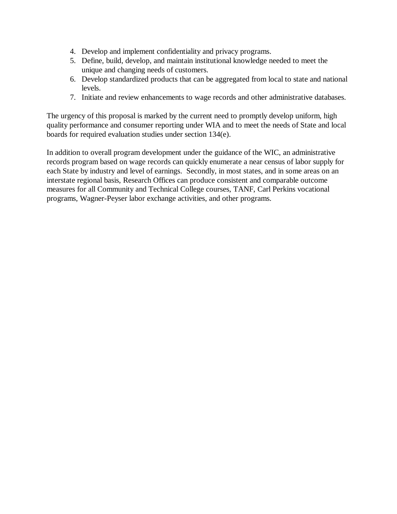- 4. Develop and implement confidentiality and privacy programs.
- 5. Define, build, develop, and maintain institutional knowledge needed to meet the unique and changing needs of customers.
- 6. Develop standardized products that can be aggregated from local to state and national levels.
- 7. Initiate and review enhancements to wage records and other administrative databases.

The urgency of this proposal is marked by the current need to promptly develop uniform, high quality performance and consumer reporting under WIA and to meet the needs of State and local boards for required evaluation studies under section 134(e).

In addition to overall program development under the guidance of the WIC, an administrative records program based on wage records can quickly enumerate a near census of labor supply for each State by industry and level of earnings. Secondly, in most states, and in some areas on an interstate regional basis, Research Offices can produce consistent and comparable outcome measures for all Community and Technical College courses, TANF, Carl Perkins vocational programs, Wagner-Peyser labor exchange activities, and other programs.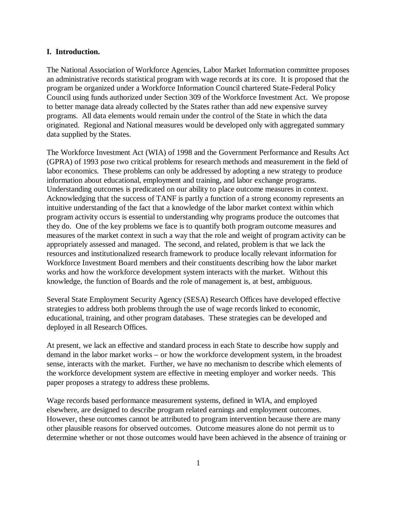#### **I. Introduction.**

The National Association of Workforce Agencies, Labor Market Information committee proposes an administrative records statistical program with wage records at its core. It is proposed that the program be organized under a Workforce Information Council chartered State-Federal Policy Council using funds authorized under Section 309 of the Workforce Investment Act. We propose to better manage data already collected by the States rather than add new expensive survey programs. All data elements would remain under the control of the State in which the data originated. Regional and National measures would be developed only with aggregated summary data supplied by the States.

The Workforce Investment Act (WIA) of 1998 and the Government Performance and Results Act (GPRA) of 1993 pose two critical problems for research methods and measurement in the field of labor economics. These problems can only be addressed by adopting a new strategy to produce information about educational, employment and training, and labor exchange programs. Understanding outcomes is predicated on our ability to place outcome measures in context. Acknowledging that the success of TANF is partly a function of a strong economy represents an intuitive understanding of the fact that a knowledge of the labor market context within which program activity occurs is essential to understanding why programs produce the outcomes that they do. One of the key problems we face is to quantify both program outcome measures and measures of the market context in such a way that the role and weight of program activity can be appropriately assessed and managed. The second, and related, problem is that we lack the resources and institutionalized research framework to produce locally relevant information for Workforce Investment Board members and their constituents describing how the labor market works and how the workforce development system interacts with the market. Without this knowledge, the function of Boards and the role of management is, at best, ambiguous.

Several State Employment Security Agency (SESA) Research Offices have developed effective strategies to address both problems through the use of wage records linked to economic, educational, training, and other program databases. These strategies can be developed and deployed in all Research Offices.

At present, we lack an effective and standard process in each State to describe how supply and demand in the labor market works – or how the workforce development system, in the broadest sense, interacts with the market. Further, we have no mechanism to describe which elements of the workforce development system are effective in meeting employer and worker needs. This paper proposes a strategy to address these problems.

Wage records based performance measurement systems, defined in WIA, and employed elsewhere, are designed to describe program related earnings and employment outcomes. However, these outcomes cannot be attributed to program intervention because there are many other plausible reasons for observed outcomes. Outcome measures alone do not permit us to determine whether or not those outcomes would have been achieved in the absence of training or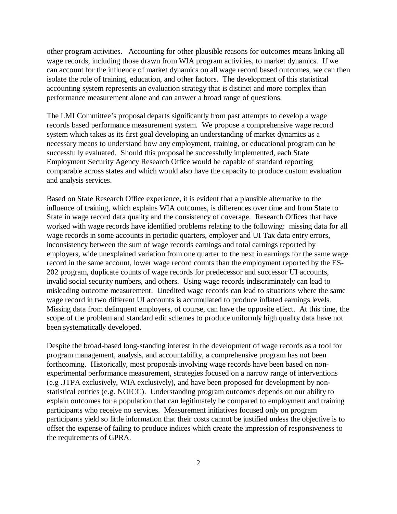other program activities. Accounting for other plausible reasons for outcomes means linking all wage records, including those drawn from WIA program activities, to market dynamics. If we can account for the influence of market dynamics on all wage record based outcomes, we can then isolate the role of training, education, and other factors. The development of this statistical accounting system represents an evaluation strategy that is distinct and more complex than performance measurement alone and can answer a broad range of questions.

The LMI Committee's proposal departs significantly from past attempts to develop a wage records based performance measurement system. We propose a comprehensive wage record system which takes as its first goal developing an understanding of market dynamics as a necessary means to understand how any employment, training, or educational program can be successfully evaluated. Should this proposal be successfully implemented, each State Employment Security Agency Research Office would be capable of standard reporting comparable across states and which would also have the capacity to produce custom evaluation and analysis services.

Based on State Research Office experience, it is evident that a plausible alternative to the influence of training, which explains WIA outcomes, is differences over time and from State to State in wage record data quality and the consistency of coverage. Research Offices that have worked with wage records have identified problems relating to the following: missing data for all wage records in some accounts in periodic quarters, employer and UI Tax data entry errors, inconsistency between the sum of wage records earnings and total earnings reported by employers, wide unexplained variation from one quarter to the next in earnings for the same wage record in the same account, lower wage record counts than the employment reported by the ES-202 program, duplicate counts of wage records for predecessor and successor UI accounts, invalid social security numbers, and others. Using wage records indiscriminately can lead to misleading outcome measurement. Unedited wage records can lead to situations where the same wage record in two different UI accounts is accumulated to produce inflated earnings levels. Missing data from delinquent employers, of course, can have the opposite effect. At this time, the scope of the problem and standard edit schemes to produce uniformly high quality data have not been systematically developed.

Despite the broad-based long-standing interest in the development of wage records as a tool for program management, analysis, and accountability, a comprehensive program has not been forthcoming. Historically, most proposals involving wage records have been based on nonexperimental performance measurement, strategies focused on a narrow range of interventions (e.g .JTPA exclusively, WIA exclusively), and have been proposed for development by nonstatistical entities (e.g. NOICC). Understanding program outcomes depends on our ability to explain outcomes for a population that can legitimately be compared to employment and training participants who receive no services. Measurement initiatives focused only on program participants yield so little information that their costs cannot be justified unless the objective is to offset the expense of failing to produce indices which create the impression of responsiveness to the requirements of GPRA.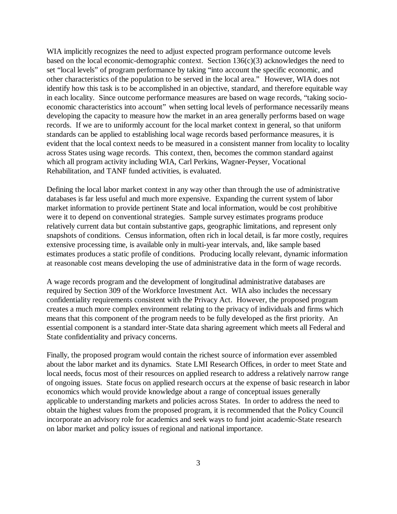WIA implicitly recognizes the need to adjust expected program performance outcome levels based on the local economic-demographic context. Section  $136(c)(3)$  acknowledges the need to set "local levels" of program performance by taking "into account the specific economic, and other characteristics of the population to be served in the local area." However, WIA does not identify how this task is to be accomplished in an objective, standard, and therefore equitable way in each locality. Since outcome performance measures are based on wage records, "taking socioeconomic characteristics into account" when setting local levels of performance necessarily means developing the capacity to measure how the market in an area generally performs based on wage records. If we are to uniformly account for the local market context in general, so that uniform standards can be applied to establishing local wage records based performance measures, it is evident that the local context needs to be measured in a consistent manner from locality to locality across States using wage records. This context, then, becomes the common standard against which all program activity including WIA, Carl Perkins, Wagner-Peyser, Vocational Rehabilitation, and TANF funded activities, is evaluated.

Defining the local labor market context in any way other than through the use of administrative databases is far less useful and much more expensive. Expanding the current system of labor market information to provide pertinent State and local information, would be cost prohibitive were it to depend on conventional strategies. Sample survey estimates programs produce relatively current data but contain substantive gaps, geographic limitations, and represent only snapshots of conditions. Census information, often rich in local detail, is far more costly, requires extensive processing time, is available only in multi-year intervals, and, like sample based estimates produces a static profile of conditions. Producing locally relevant, dynamic information at reasonable cost means developing the use of administrative data in the form of wage records.

A wage records program and the development of longitudinal administrative databases are required by Section 309 of the Workforce Investment Act. WIA also includes the necessary confidentiality requirements consistent with the Privacy Act. However, the proposed program creates a much more complex environment relating to the privacy of individuals and firms which means that this component of the program needs to be fully developed as the first priority. An essential component is a standard inter-State data sharing agreement which meets all Federal and State confidentiality and privacy concerns.

Finally, the proposed program would contain the richest source of information ever assembled about the labor market and its dynamics. State LMI Research Offices, in order to meet State and local needs, focus most of their resources on applied research to address a relatively narrow range of ongoing issues. State focus on applied research occurs at the expense of basic research in labor economics which would provide knowledge about a range of conceptual issues generally applicable to understanding markets and policies across States. In order to address the need to obtain the highest values from the proposed program, it is recommended that the Policy Council incorporate an advisory role for academics and seek ways to fund joint academic-State research on labor market and policy issues of regional and national importance.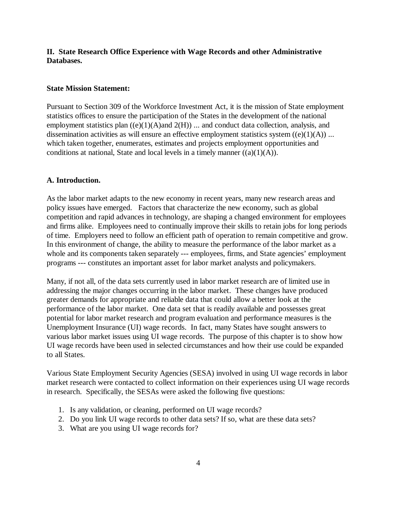### **II. State Research Office Experience with Wage Records and other Administrative Databases.**

#### **State Mission Statement:**

Pursuant to Section 309 of the Workforce Investment Act, it is the mission of State employment statistics offices to ensure the participation of the States in the development of the national employment statistics plan  $((e)(1)(A)$  and  $2(H))$  ... and conduct data collection, analysis, and dissemination activities as will ensure an effective employment statistics system  $((e)(1)(A))$  ... which taken together, enumerates, estimates and projects employment opportunities and conditions at national, State and local levels in a timely manner  $((a)(1)(A))$ .

#### **A. Introduction.**

As the labor market adapts to the new economy in recent years, many new research areas and policy issues have emerged. Factors that characterize the new economy, such as global competition and rapid advances in technology, are shaping a changed environment for employees and firms alike. Employees need to continually improve their skills to retain jobs for long periods of time. Employers need to follow an efficient path of operation to remain competitive and grow. In this environment of change, the ability to measure the performance of the labor market as a whole and its components taken separately --- employees, firms, and State agencies' employment programs --- constitutes an important asset for labor market analysts and policymakers.

Many, if not all, of the data sets currently used in labor market research are of limited use in addressing the major changes occurring in the labor market. These changes have produced greater demands for appropriate and reliable data that could allow a better look at the performance of the labor market. One data set that is readily available and possesses great potential for labor market research and program evaluation and performance measures is the Unemployment Insurance (UI) wage records. In fact, many States have sought answers to various labor market issues using UI wage records. The purpose of this chapter is to show how UI wage records have been used in selected circumstances and how their use could be expanded to all States.

Various State Employment Security Agencies (SESA) involved in using UI wage records in labor market research were contacted to collect information on their experiences using UI wage records in research. Specifically, the SESAs were asked the following five questions:

- 1. Is any validation, or cleaning, performed on UI wage records?
- 2. Do you link UI wage records to other data sets? If so, what are these data sets?
- 3. What are you using UI wage records for?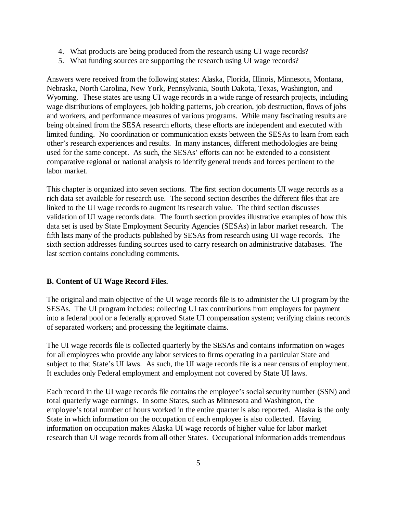- 4. What products are being produced from the research using UI wage records?
- 5. What funding sources are supporting the research using UI wage records?

Answers were received from the following states: Alaska, Florida, Illinois, Minnesota, Montana, Nebraska, North Carolina, New York, Pennsylvania, South Dakota, Texas, Washington, and Wyoming. These states are using UI wage records in a wide range of research projects, including wage distributions of employees, job holding patterns, job creation, job destruction, flows of jobs and workers, and performance measures of various programs. While many fascinating results are being obtained from the SESA research efforts, these efforts are independent and executed with limited funding. No coordination or communication exists between the SESAs to learn from each other's research experiences and results. In many instances, different methodologies are being used for the same concept. As such, the SESAs' efforts can not be extended to a consistent comparative regional or national analysis to identify general trends and forces pertinent to the labor market.

This chapter is organized into seven sections. The first section documents UI wage records as a rich data set available for research use. The second section describes the different files that are linked to the UI wage records to augment its research value. The third section discusses validation of UI wage records data. The fourth section provides illustrative examples of how this data set is used by State Employment Security Agencies (SESAs) in labor market research. The fifth lists many of the products published by SESAs from research using UI wage records. The sixth section addresses funding sources used to carry research on administrative databases. The last section contains concluding comments.

#### **B. Content of UI Wage Record Files.**

The original and main objective of the UI wage records file is to administer the UI program by the SESAs. The UI program includes: collecting UI tax contributions from employers for payment into a federal pool or a federally approved State UI compensation system; verifying claims records of separated workers; and processing the legitimate claims.

The UI wage records file is collected quarterly by the SESAs and contains information on wages for all employees who provide any labor services to firms operating in a particular State and subject to that State's UI laws. As such, the UI wage records file is a near census of employment. It excludes only Federal employment and employment not covered by State UI laws.

Each record in the UI wage records file contains the employee's social security number (SSN) and total quarterly wage earnings. In some States, such as Minnesota and Washington, the employee's total number of hours worked in the entire quarter is also reported. Alaska is the only State in which information on the occupation of each employee is also collected. Having information on occupation makes Alaska UI wage records of higher value for labor market research than UI wage records from all other States. Occupational information adds tremendous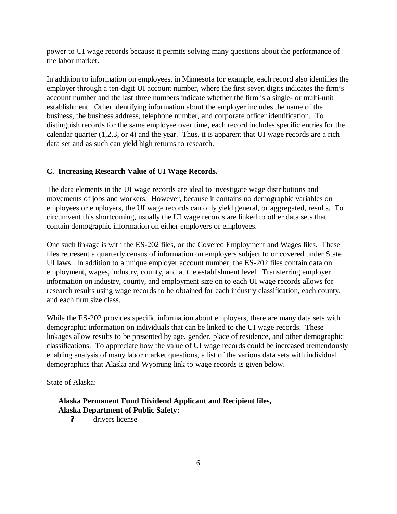power to UI wage records because it permits solving many questions about the performance of the labor market.

In addition to information on employees, in Minnesota for example, each record also identifies the employer through a ten-digit UI account number, where the first seven digits indicates the firm's account number and the last three numbers indicate whether the firm is a single- or multi-unit establishment. Other identifying information about the employer includes the name of the business, the business address, telephone number, and corporate officer identification. To distinguish records for the same employee over time, each record includes specific entries for the calendar quarter (1,2,3, or 4) and the year. Thus, it is apparent that UI wage records are a rich data set and as such can yield high returns to research.

### **C. Increasing Research Value of UI Wage Records.**

The data elements in the UI wage records are ideal to investigate wage distributions and movements of jobs and workers. However, because it contains no demographic variables on employees or employers, the UI wage records can only yield general, or aggregated, results. To circumvent this shortcoming, usually the UI wage records are linked to other data sets that contain demographic information on either employers or employees.

One such linkage is with the ES-202 files, or the Covered Employment and Wages files. These files represent a quarterly census of information on employers subject to or covered under State UI laws. In addition to a unique employer account number, the ES-202 files contain data on employment, wages, industry, county, and at the establishment level. Transferring employer information on industry, county, and employment size on to each UI wage records allows for research results using wage records to be obtained for each industry classification, each county, and each firm size class.

While the ES-202 provides specific information about employers, there are many data sets with demographic information on individuals that can be linked to the UI wage records. These linkages allow results to be presented by age, gender, place of residence, and other demographic classifications. To appreciate how the value of UI wage records could be increased tremendously enabling analysis of many labor market questions, a list of the various data sets with individual demographics that Alaska and Wyoming link to wage records is given below.

#### State of Alaska:

### **Alaska Permanent Fund Dividend Applicant and Recipient files, Alaska Department of Public Safety:**

**?** drivers license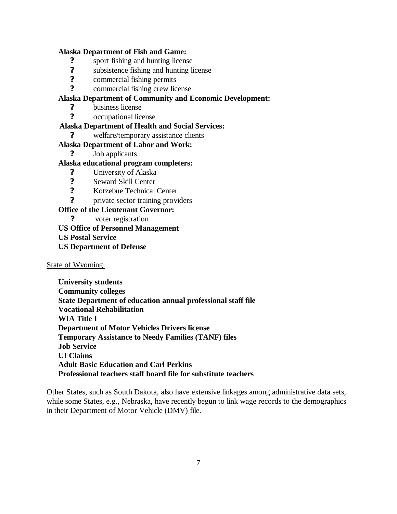### **Alaska Department of Fish and Game:**

- **?** sport fishing and hunting license
- **?** subsistence fishing and hunting license
- **?** commercial fishing permits
- **?** commercial fishing crew license

# **Alaska Department of Community and Economic Development:**

- **?** business license
- **?** occupational license

### **Alaska Department of Health and Social Services:**

**?** welfare/temporary assistance clients

### **Alaska Department of Labor and Work:**

**?** Job applicants

### **Alaska educational program completers:**

- **?** University of Alaska
- **?** Seward Skill Center
- **?** Kotzebue Technical Center
- **?** private sector training providers

### **Office of the Lieutenant Governor:**

 **?** voter registration

### **US Office of Personnel Management**

- **US Postal Service**
- **US Department of Defense**

State of Wyoming:

**University students Community colleges State Department of education annual professional staff file Vocational Rehabilitation WIA Title I Department of Motor Vehicles Drivers license Temporary Assistance to Needy Families (TANF) files Job Service UI Claims Adult Basic Education and Carl Perkins Professional teachers staff board file for substitute teachers**

Other States, such as South Dakota, also have extensive linkages among administrative data sets, while some States, e.g., Nebraska, have recently begun to link wage records to the demographics in their Department of Motor Vehicle (DMV) file.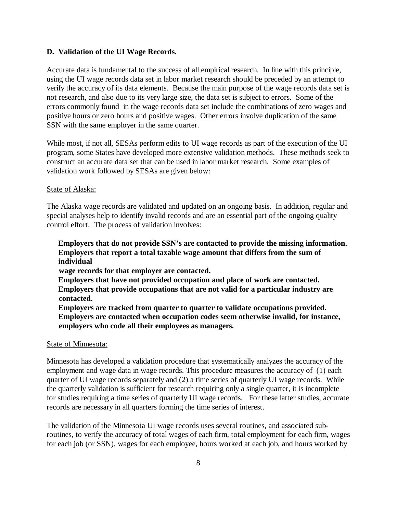#### **D. Validation of the UI Wage Records.**

Accurate data is fundamental to the success of all empirical research. In line with this principle, using the UI wage records data set in labor market research should be preceded by an attempt to verify the accuracy of its data elements. Because the main purpose of the wage records data set is not research, and also due to its very large size, the data set is subject to errors. Some of the errors commonly found in the wage records data set include the combinations of zero wages and positive hours or zero hours and positive wages. Other errors involve duplication of the same SSN with the same employer in the same quarter.

While most, if not all, SESAs perform edits to UI wage records as part of the execution of the UI program, some States have developed more extensive validation methods. These methods seek to construct an accurate data set that can be used in labor market research. Some examples of validation work followed by SESAs are given below:

#### State of Alaska:

The Alaska wage records are validated and updated on an ongoing basis. In addition, regular and special analyses help to identify invalid records and are an essential part of the ongoing quality control effort. The process of validation involves:

### **Employers that do not provide SSN's are contacted to provide the missing information. Employers that report a total taxable wage amount that differs from the sum of individual**

 **wage records for that employer are contacted.**

- **Employers that have not provided occupation and place of work are contacted. Employers that provide occupations that are not valid for a particular industry are contacted.**
- **Employers are tracked from quarter to quarter to validate occupations provided. Employers are contacted when occupation codes seem otherwise invalid, for instance, employers who code all their employees as managers.**

#### State of Minnesota:

Minnesota has developed a validation procedure that systematically analyzes the accuracy of the employment and wage data in wage records. This procedure measures the accuracy of (1) each quarter of UI wage records separately and (2) a time series of quarterly UI wage records. While the quarterly validation is sufficient for research requiring only a single quarter, it is incomplete for studies requiring a time series of quarterly UI wage records. For these latter studies, accurate records are necessary in all quarters forming the time series of interest.

The validation of the Minnesota UI wage records uses several routines, and associated subroutines, to verify the accuracy of total wages of each firm, total employment for each firm, wages for each job (or SSN), wages for each employee, hours worked at each job, and hours worked by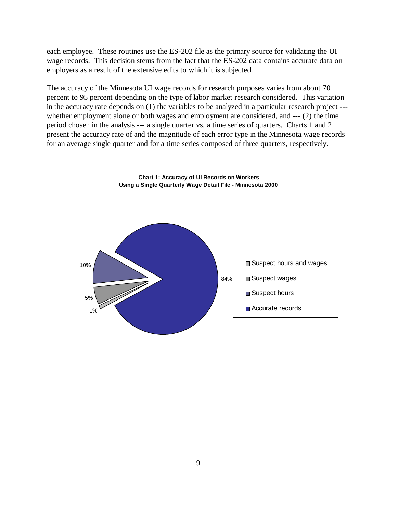each employee. These routines use the ES-202 file as the primary source for validating the UI wage records. This decision stems from the fact that the ES-202 data contains accurate data on employers as a result of the extensive edits to which it is subjected.

The accuracy of the Minnesota UI wage records for research purposes varies from about 70 percent to 95 percent depending on the type of labor market research considered. This variation in the accuracy rate depends on (1) the variables to be analyzed in a particular research project -- whether employment alone or both wages and employment are considered, and --- (2) the time period chosen in the analysis --- a single quarter vs. a time series of quarters. Charts 1 and 2 present the accuracy rate of and the magnitude of each error type in the Minnesota wage records for an average single quarter and for a time series composed of three quarters, respectively.



**Chart 1: Accuracy of UI Records on Workers Using a Single Quarterly Wage Detail File - Minnesota 2000**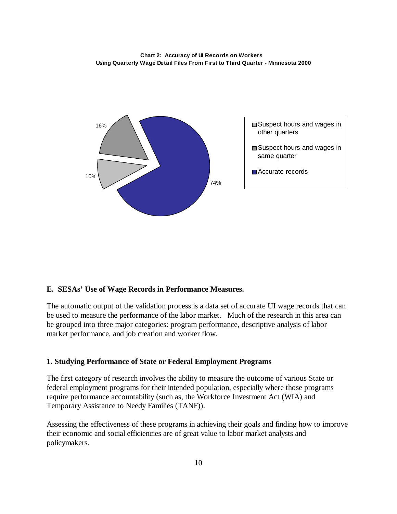



#### **E. SESAs' Use of Wage Records in Performance Measures.**

The automatic output of the validation process is a data set of accurate UI wage records that can be used to measure the performance of the labor market. Much of the research in this area can be grouped into three major categories: program performance, descriptive analysis of labor market performance, and job creation and worker flow.

#### **1. Studying Performance of State or Federal Employment Programs**

The first category of research involves the ability to measure the outcome of various State or federal employment programs for their intended population, especially where those programs require performance accountability (such as, the Workforce Investment Act (WIA) and Temporary Assistance to Needy Families (TANF)).

Assessing the effectiveness of these programs in achieving their goals and finding how to improve their economic and social efficiencies are of great value to labor market analysts and policymakers.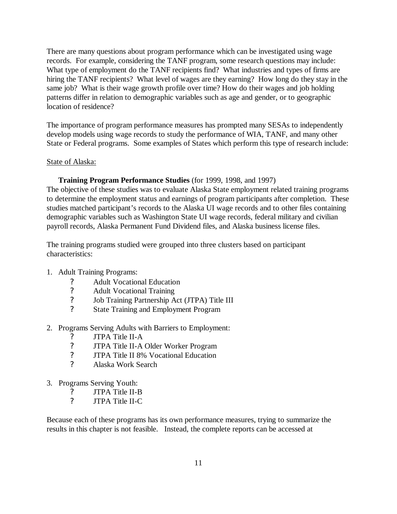There are many questions about program performance which can be investigated using wage records. For example, considering the TANF program, some research questions may include: What type of employment do the TANF recipients find? What industries and types of firms are hiring the TANF recipients? What level of wages are they earning? How long do they stay in the same job? What is their wage growth profile over time? How do their wages and job holding patterns differ in relation to demographic variables such as age and gender, or to geographic location of residence?

The importance of program performance measures has prompted many SESAs to independently develop models using wage records to study the performance of WIA, TANF, and many other State or Federal programs. Some examples of States which perform this type of research include:

#### State of Alaska:

#### **Training Program Performance Studies** (for 1999, 1998, and 1997)

The objective of these studies was to evaluate Alaska State employment related training programs to determine the employment status and earnings of program participants after completion. These studies matched participant's records to the Alaska UI wage records and to other files containing demographic variables such as Washington State UI wage records, federal military and civilian payroll records, Alaska Permanent Fund Dividend files, and Alaska business license files.

The training programs studied were grouped into three clusters based on participant characteristics:

#### 1. Adult Training Programs:

- ? Adult Vocational Education<br>
? Adult Vocational Training
- ? Adult Vocational Training<br>? Job Training Partnership A
- ? Job Training Partnership Act (JTPA) Title III
- ? State Training and Employment Program
- 2. Programs Serving Adults with Barriers to Employment:
	- ? JTPA Title II-A<br>? JTPA Title II-A
	- ? JTPA Title II-A Older Worker Program<br>
	? JTPA Title II 8% Vocational Education
	- ? JTPA Title II 8% Vocational Education
	- ? Alaska Work Search
- 3. Programs Serving Youth:
	- ? JTPA Title II-B<br>? ITPA Title II-C
	- ? JTPA Title II-C

Because each of these programs has its own performance measures, trying to summarize the results in this chapter is not feasible. Instead, the complete reports can be accessed at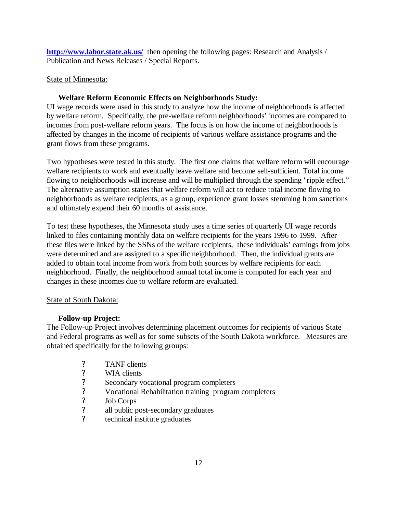**http://www.labor.state.ak.us/** then opening the following pages: Research and Analysis / Publication and News Releases / Special Reports.

### State of Minnesota:

### **Welfare Reform Economic Effects on Neighborhoods Study:**

UI wage records were used in this study to analyze how the income of neighborhoods is affected by welfare reform. Specifically, the pre-welfare reform neighborhoods' incomes are compared to incomes from post-welfare reform years. The focus is on how the income of neighborhoods is affected by changes in the income of recipients of various welfare assistance programs and the grant flows from these programs.

Two hypotheses were tested in this study. The first one claims that welfare reform will encourage welfare recipients to work and eventually leave welfare and become self-sufficient. Total income flowing to neighborhoods will increase and will be multiplied through the spending "ripple effect." The alternative assumption states that welfare reform will act to reduce total income flowing to neighborhoods as welfare recipients, as a group, experience grant losses stemming from sanctions and ultimately expend their 60 months of assistance.

To test these hypotheses, the Minnesota study uses a time series of quarterly UI wage records linked to files containing monthly data on welfare recipients for the years 1996 to 1999. After these files were linked by the SSNs of the welfare recipients, these individuals' earnings from jobs were determined and are assigned to a specific neighborhood. Then, the individual grants are added to obtain total income from work from both sources by welfare recipients for each neighborhood. Finally, the neighborhood annual total income is computed for each year and changes in these incomes due to welfare reform are evaluated.

#### State of South Dakota:

#### **Follow-up Project:**

The Follow-up Project involves determining placement outcomes for recipients of various State and Federal programs as well as for some subsets of the South Dakota workforce. Measures are obtained specifically for the following groups:

- 
- WIA clients
- ? TANF clients<br>
? WIA clients<br>
? Secondary voe<br>
? Job Corps<br>
? all public post ? Secondary vocational program completers
- ? Vocational Rehabilitation training program completers
- Job Corps
- all public post-secondary graduates
- ? technical institute graduates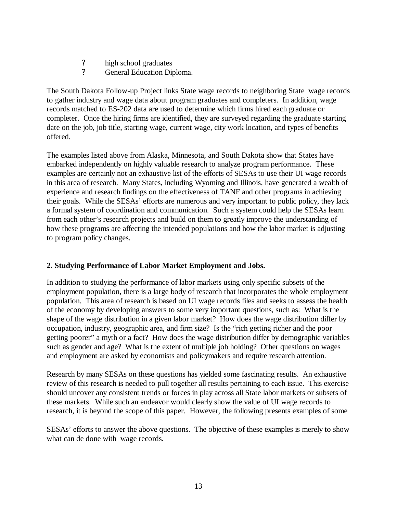- **7** high school graduates<br>**7** General Education Direction
- General Education Diploma.

The South Dakota Follow-up Project links State wage records to neighboring State wage records to gather industry and wage data about program graduates and completers. In addition, wage records matched to ES-202 data are used to determine which firms hired each graduate or completer. Once the hiring firms are identified, they are surveyed regarding the graduate starting date on the job, job title, starting wage, current wage, city work location, and types of benefits offered.

The examples listed above from Alaska, Minnesota, and South Dakota show that States have embarked independently on highly valuable research to analyze program performance. These examples are certainly not an exhaustive list of the efforts of SESAs to use their UI wage records in this area of research. Many States, including Wyoming and Illinois, have generated a wealth of experience and research findings on the effectiveness of TANF and other programs in achieving their goals. While the SESAs' efforts are numerous and very important to public policy, they lack a formal system of coordination and communication. Such a system could help the SESAs learn from each other's research projects and build on them to greatly improve the understanding of how these programs are affecting the intended populations and how the labor market is adjusting to program policy changes.

# **2. Studying Performance of Labor Market Employment and Jobs.**

In addition to studying the performance of labor markets using only specific subsets of the employment population, there is a large body of research that incorporates the whole employment population. This area of research is based on UI wage records files and seeks to assess the health of the economy by developing answers to some very important questions, such as: What is the shape of the wage distribution in a given labor market? How does the wage distribution differ by occupation, industry, geographic area, and firm size? Is the "rich getting richer and the poor getting poorer" a myth or a fact? How does the wage distribution differ by demographic variables such as gender and age? What is the extent of multiple job holding? Other questions on wages and employment are asked by economists and policymakers and require research attention.

Research by many SESAs on these questions has yielded some fascinating results. An exhaustive review of this research is needed to pull together all results pertaining to each issue. This exercise should uncover any consistent trends or forces in play across all State labor markets or subsets of these markets. While such an endeavor would clearly show the value of UI wage records to research, it is beyond the scope of this paper. However, the following presents examples of some

SESAs' efforts to answer the above questions. The objective of these examples is merely to show what can de done with wage records.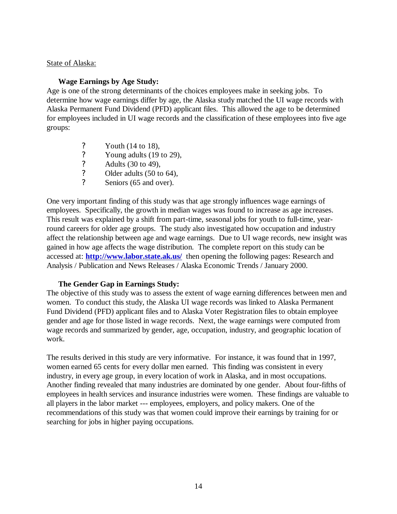#### State of Alaska:

#### **Wage Earnings by Age Study:**

Age is one of the strong determinants of the choices employees make in seeking jobs. To determine how wage earnings differ by age, the Alaska study matched the UI wage records with Alaska Permanent Fund Dividend (PFD) applicant files. This allowed the age to be determined for employees included in UI wage records and the classification of these employees into five age groups:

- 
- Young adults (19 to 29),
- ? Youth (14 to 18),<br>
? Young adults (19<br>
? Adults (30 to 49),<br>
? Older adults (50 to ? Adults (30 to 49),
- ? Older adults  $(50 \text{ to } 64)$ ,<br>
? Seniors  $(65 \text{ and over})$
- Seniors (65 and over).

One very important finding of this study was that age strongly influences wage earnings of employees. Specifically, the growth in median wages was found to increase as age increases. This result was explained by a shift from part-time, seasonal jobs for youth to full-time, yearround careers for older age groups. The study also investigated how occupation and industry affect the relationship between age and wage earnings. Due to UI wage records, new insight was gained in how age affects the wage distribution. The complete report on this study can be accessed at: **http://www.labor.state.ak.us/** then opening the following pages: Research and Analysis / Publication and News Releases / Alaska Economic Trends / January 2000.

#### **The Gender Gap in Earnings Study:**

The objective of this study was to assess the extent of wage earning differences between men and women. To conduct this study, the Alaska UI wage records was linked to Alaska Permanent Fund Dividend (PFD) applicant files and to Alaska Voter Registration files to obtain employee gender and age for those listed in wage records. Next, the wage earnings were computed from wage records and summarized by gender, age, occupation, industry, and geographic location of work.

The results derived in this study are very informative. For instance, it was found that in 1997, women earned 65 cents for every dollar men earned. This finding was consistent in every industry, in every age group, in every location of work in Alaska, and in most occupations. Another finding revealed that many industries are dominated by one gender. About four-fifths of employees in health services and insurance industries were women. These findings are valuable to all players in the labor market --- employees, employers, and policy makers. One of the recommendations of this study was that women could improve their earnings by training for or searching for jobs in higher paying occupations.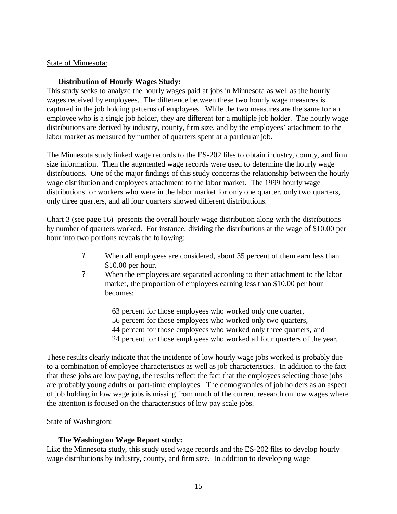#### State of Minnesota:

#### **Distribution of Hourly Wages Study:**

This study seeks to analyze the hourly wages paid at jobs in Minnesota as well as the hourly wages received by employees. The difference between these two hourly wage measures is captured in the job holding patterns of employees. While the two measures are the same for an employee who is a single job holder, they are different for a multiple job holder. The hourly wage distributions are derived by industry, county, firm size, and by the employees' attachment to the labor market as measured by number of quarters spent at a particular job.

The Minnesota study linked wage records to the ES-202 files to obtain industry, county, and firm size information. Then the augmented wage records were used to determine the hourly wage distributions. One of the major findings of this study concerns the relationship between the hourly wage distribution and employees attachment to the labor market. The 1999 hourly wage distributions for workers who were in the labor market for only one quarter, only two quarters, only three quarters, and all four quarters showed different distributions.

Chart 3 (see page 16) presents the overall hourly wage distribution along with the distributions by number of quarters worked. For instance, dividing the distributions at the wage of \$10.00 per hour into two portions reveals the following:

- ? When all employees are considered, about 35 percent of them earn less than \$10.00 per hour.
- ? When the employees are separated according to their attachment to the labor market, the proportion of employees earning less than \$10.00 per hour becomes:

 63 percent for those employees who worked only one quarter, 56 percent for those employees who worked only two quarters, 44 percent for those employees who worked only three quarters, and 24 percent for those employees who worked all four quarters of the year.

These results clearly indicate that the incidence of low hourly wage jobs worked is probably due to a combination of employee characteristics as well as job characteristics. In addition to the fact that these jobs are low paying, the results reflect the fact that the employees selecting those jobs are probably young adults or part-time employees. The demographics of job holders as an aspect of job holding in low wage jobs is missing from much of the current research on low wages where the attention is focused on the characteristics of low pay scale jobs.

#### State of Washington:

#### **The Washington Wage Report study:**

Like the Minnesota study, this study used wage records and the ES-202 files to develop hourly wage distributions by industry, county, and firm size. In addition to developing wage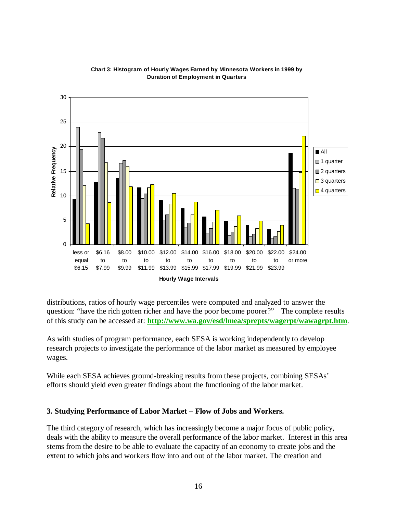

#### **Chart 3: Histogram of Hourly Wages Earned by Minnesota Workers in 1999 by Duration of Employment in Quarters**

distributions, ratios of hourly wage percentiles were computed and analyzed to answer the question: "have the rich gotten richer and have the poor become poorer?" The complete results of this study can be accessed at: **http://www.wa.gov/esd/lmea/sprepts/wagerpt/wawagrpt.htm**.

As with studies of program performance, each SESA is working independently to develop research projects to investigate the performance of the labor market as measured by employee wages.

While each SESA achieves ground-breaking results from these projects, combining SESAs' efforts should yield even greater findings about the functioning of the labor market.

# **3. Studying Performance of Labor Market – Flow of Jobs and Workers.**

The third category of research, which has increasingly become a major focus of public policy, deals with the ability to measure the overall performance of the labor market. Interest in this area stems from the desire to be able to evaluate the capacity of an economy to create jobs and the extent to which jobs and workers flow into and out of the labor market. The creation and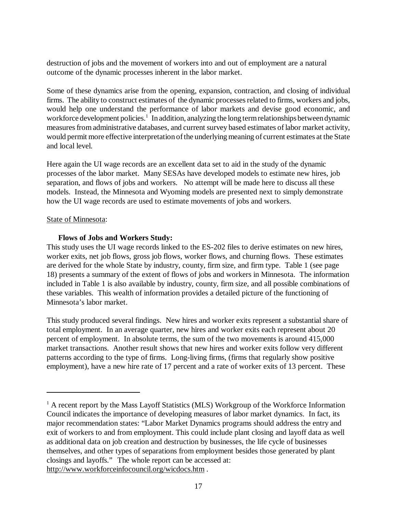destruction of jobs and the movement of workers into and out of employment are a natural outcome of the dynamic processes inherent in the labor market.

Some of these dynamics arise from the opening, expansion, contraction, and closing of individual firms. The ability to construct estimates of the dynamic processes related to firms, workers and jobs, would help one understand the performance of labor markets and devise good economic, and workforce development policies.<sup>1</sup> In addition, analyzing the long term relationships between dynamic measures from administrative databases, and current survey based estimates of labor market activity, would permit more effective interpretation of the underlying meaning of current estimates at the State and local level.

Here again the UI wage records are an excellent data set to aid in the study of the dynamic processes of the labor market. Many SESAs have developed models to estimate new hires, job separation, and flows of jobs and workers. No attempt will be made here to discuss all these models. Instead, the Minnesota and Wyoming models are presented next to simply demonstrate how the UI wage records are used to estimate movements of jobs and workers.

#### State of Minnesota:

### **Flows of Jobs and Workers Study:**

This study uses the UI wage records linked to the ES-202 files to derive estimates on new hires, worker exits, net job flows, gross job flows, worker flows, and churning flows. These estimates are derived for the whole State by industry, county, firm size, and firm type. Table 1 (see page 18) presents a summary of the extent of flows of jobs and workers in Minnesota. The information included in Table 1 is also available by industry, county, firm size, and all possible combinations of these variables. This wealth of information provides a detailed picture of the functioning of Minnesota's labor market.

This study produced several findings. New hires and worker exits represent a substantial share of total employment. In an average quarter, new hires and worker exits each represent about 20 percent of employment. In absolute terms, the sum of the two movements is around 415,000 market transactions. Another result shows that new hires and worker exits follow very different patterns according to the type of firms. Long-living firms, (firms that regularly show positive employment), have a new hire rate of 17 percent and a rate of worker exits of 13 percent. These

<sup>&</sup>lt;sup>1</sup> A recent report by the Mass Layoff Statistics (MLS) Workgroup of the Workforce Information Council indicates the importance of developing measures of labor market dynamics. In fact, its major recommendation states: "Labor Market Dynamics programs should address the entry and exit of workers to and from employment. This could include plant closing and layoff data as well as additional data on job creation and destruction by businesses, the life cycle of businesses themselves, and other types of separations from employment besides those generated by plant closings and layoffs." The whole report can be accessed at: http://www.workforceinfocouncil.org/wicdocs.htm .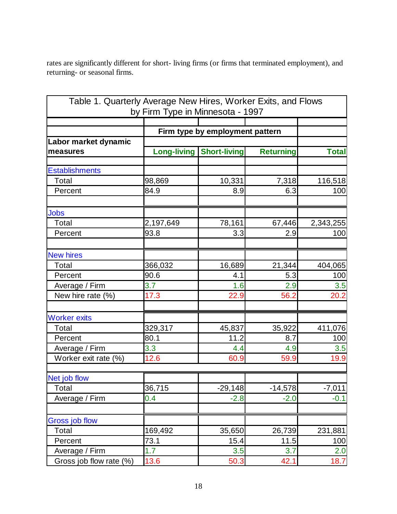rates are significantly different for short- living firms (or firms that terminated employment), and returning- or seasonal firms.

| Table 1. Quarterly Average New Hires, Worker Exits, and Flows<br>by Firm Type in Minnesota - 1997 |                    |                                 |                  |              |  |  |
|---------------------------------------------------------------------------------------------------|--------------------|---------------------------------|------------------|--------------|--|--|
|                                                                                                   |                    |                                 |                  |              |  |  |
|                                                                                                   |                    | Firm type by employment pattern |                  |              |  |  |
| Labor market dynamic                                                                              |                    |                                 |                  |              |  |  |
| measures                                                                                          | <b>Long-living</b> | <b>Short-living</b>             | <b>Returning</b> | <b>Total</b> |  |  |
| <b>Establishments</b>                                                                             |                    |                                 |                  |              |  |  |
| Total                                                                                             | 98,869             | 10,331                          | 7,318            | 116,518      |  |  |
| Percent                                                                                           | 84.9               | 8.9                             | 6.3              | 100          |  |  |
| <b>Jobs</b>                                                                                       |                    |                                 |                  |              |  |  |
| Total                                                                                             | 2,197,649          | 78,161                          | 67,446           | 2,343,255    |  |  |
| Percent                                                                                           | 93.8               | 3.3                             | 2.9              | 100          |  |  |
| <b>New hires</b>                                                                                  |                    |                                 |                  |              |  |  |
| Total                                                                                             | 366,032            | 16,689                          | 21,344           | 404,065      |  |  |
| Percent                                                                                           | 90.6               | 4.1                             | 5.3              | 100          |  |  |
| Average / Firm                                                                                    | 3.7                | 1.6                             | 2.9              | 3.5          |  |  |
| New hire rate (%)                                                                                 | 17.3               | 22.9                            | 56.2             | 20.2         |  |  |
| <b>Worker exits</b>                                                                               |                    |                                 |                  |              |  |  |
| Total                                                                                             | 329,317            | 45,837                          | 35,922           | 411,076      |  |  |
| Percent                                                                                           | 80.1               | 11.2                            | 8.7              | 100          |  |  |
| Average / Firm                                                                                    | 3.3                | 4.4                             | 4.9              | 3.5          |  |  |
| Worker exit rate (%)                                                                              | 12.6               | 60.9                            | 59.9             | 19.9         |  |  |
| Net job flow                                                                                      |                    |                                 |                  |              |  |  |
| Total                                                                                             | 36,715             | $-29,148$                       | $-14,578$        | $-7,011$     |  |  |
| Average / Firm                                                                                    | 0.4                | $-2.8$                          | $-2.0$           | $-0.1$       |  |  |
| <b>Gross job flow</b>                                                                             |                    |                                 |                  |              |  |  |
| Total                                                                                             | 169,492            | 35,650                          | 26,739           | 231,881      |  |  |
| Percent                                                                                           | 73.1               | 15.4                            | 11.5             | 100          |  |  |
| Average / Firm                                                                                    | 1.7                | 3.5                             | 3.7              | 2.0          |  |  |
| Gross job flow rate (%)                                                                           | 13.6               | 50.3                            | 42.1             | 18.7         |  |  |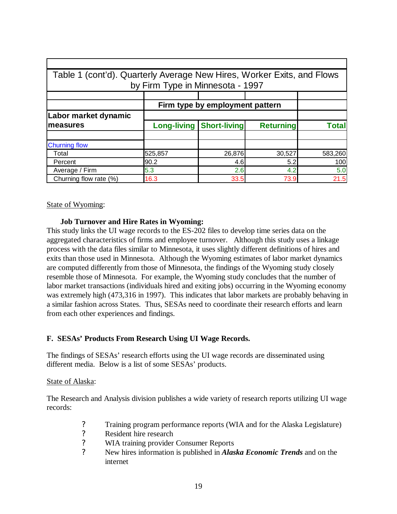| Table 1 (cont'd). Quarterly Average New Hires, Worker Exits, and Flows<br>by Firm Type in Minnesota - 1997 |                                 |                     |                  |              |  |  |  |  |  |
|------------------------------------------------------------------------------------------------------------|---------------------------------|---------------------|------------------|--------------|--|--|--|--|--|
|                                                                                                            |                                 |                     |                  |              |  |  |  |  |  |
|                                                                                                            | Firm type by employment pattern |                     |                  |              |  |  |  |  |  |
| Labor market dynamic                                                                                       |                                 |                     |                  |              |  |  |  |  |  |
| <b>Imeasures</b>                                                                                           | <b>Long-living</b>              | <b>Short-living</b> | <b>Returning</b> | <b>Total</b> |  |  |  |  |  |
|                                                                                                            |                                 |                     |                  |              |  |  |  |  |  |
| <b>Churning flow</b>                                                                                       |                                 |                     |                  |              |  |  |  |  |  |
| Total                                                                                                      | 525,857                         | 26,876              | 30,527           | 583,260      |  |  |  |  |  |
| Percent                                                                                                    | 90.2                            | 4.6                 | 5.2              | 100          |  |  |  |  |  |
| Average / Firm                                                                                             | 5.3                             | 2.6                 | 4.2              | 5.0          |  |  |  |  |  |
| Churning flow rate (%)                                                                                     | 16.3                            | 33.5                | 73.9             | 21.5         |  |  |  |  |  |

State of Wyoming:

### **Job Turnover and Hire Rates in Wyoming:**

This study links the UI wage records to the ES-202 files to develop time series data on the aggregated characteristics of firms and employee turnover. Although this study uses a linkage process with the data files similar to Minnesota, it uses slightly different definitions of hires and exits than those used in Minnesota. Although the Wyoming estimates of labor market dynamics are computed differently from those of Minnesota, the findings of the Wyoming study closely resemble those of Minnesota. For example, the Wyoming study concludes that the number of labor market transactions (individuals hired and exiting jobs) occurring in the Wyoming economy was extremely high (473,316 in 1997). This indicates that labor markets are probably behaving in a similar fashion across States. Thus, SESAs need to coordinate their research efforts and learn from each other experiences and findings.

# **F. SESAs' Products From Research Using UI Wage Records.**

The findings of SESAs' research efforts using the UI wage records are disseminated using different media. Below is a list of some SESAs' products.

#### State of Alaska:

The Research and Analysis division publishes a wide variety of research reports utilizing UI wage records:

- ? Training program performance reports (WIA and for the Alaska Legislature)<br>
P. Resident hire research
- Resident hire research
- ? WIA training provider Consumer Reports
- ? New hires information is published in *Alaska Economic Trends* and on the internet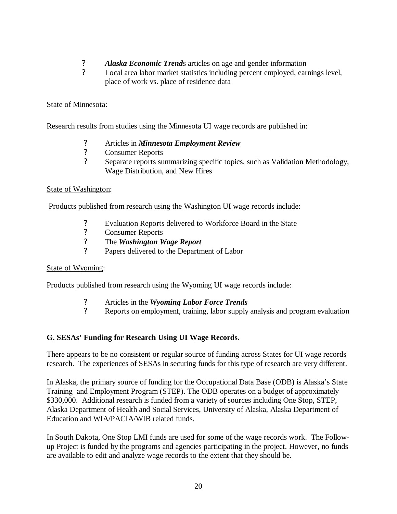- *P Alaska Economic Trends* articles on age and gender information<br>**P** *Local area labor market statistics including percent employed, ear*
- Local area labor market statistics including percent employed, earnings level, place of work vs. place of residence data

# State of Minnesota:

Research results from studies using the Minnesota UI wage records are published in:

- ? Articles in *Minnesota Employment Review*
- ? Consumer Reports
- ? Separate reports summarizing specific topics, such as Validation Methodology, Wage Distribution, and New Hires

# State of Washington:

Products published from research using the Washington UI wage records include:

- ? Evaluation Reports delivered to Workforce Board in the State
- ? Consumer Reports
- ? The *Washington Wage Report*
- ? Papers delivered to the Department of Labor

# State of Wyoming:

Products published from research using the Wyoming UI wage records include:

- ? Articles in the *Wyoming Labor Force Trends*
- ? Reports on employment, training, labor supply analysis and program evaluation

# **G. SESAs' Funding for Research Using UI Wage Records.**

There appears to be no consistent or regular source of funding across States for UI wage records research. The experiences of SESAs in securing funds for this type of research are very different.

In Alaska, the primary source of funding for the Occupational Data Base (ODB) is Alaska's State Training and Employment Program (STEP). The ODB operates on a budget of approximately \$330,000. Additional research is funded from a variety of sources including One Stop, STEP, Alaska Department of Health and Social Services, University of Alaska, Alaska Department of Education and WIA/PACIA/WIB related funds.

In South Dakota, One Stop LMI funds are used for some of the wage records work. The Followup Project is funded by the programs and agencies participating in the project. However, no funds are available to edit and analyze wage records to the extent that they should be.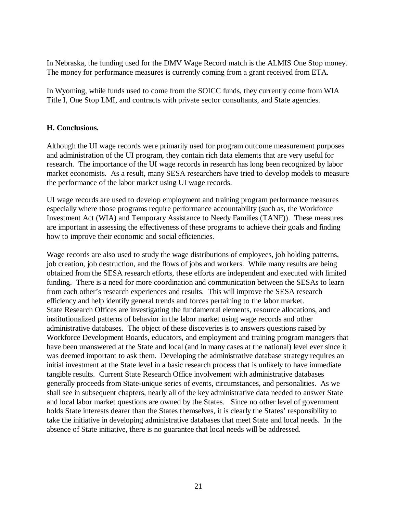In Nebraska, the funding used for the DMV Wage Record match is the ALMIS One Stop money. The money for performance measures is currently coming from a grant received from ETA.

In Wyoming, while funds used to come from the SOICC funds, they currently come from WIA Title I, One Stop LMI, and contracts with private sector consultants, and State agencies.

### **H. Conclusions.**

Although the UI wage records were primarily used for program outcome measurement purposes and administration of the UI program, they contain rich data elements that are very useful for research. The importance of the UI wage records in research has long been recognized by labor market economists. As a result, many SESA researchers have tried to develop models to measure the performance of the labor market using UI wage records.

UI wage records are used to develop employment and training program performance measures especially where those programs require performance accountability (such as, the Workforce Investment Act (WIA) and Temporary Assistance to Needy Families (TANF)). These measures are important in assessing the effectiveness of these programs to achieve their goals and finding how to improve their economic and social efficiencies.

Wage records are also used to study the wage distributions of employees, job holding patterns, job creation, job destruction, and the flows of jobs and workers. While many results are being obtained from the SESA research efforts, these efforts are independent and executed with limited funding. There is a need for more coordination and communication between the SESAs to learn from each other's research experiences and results. This will improve the SESA research efficiency and help identify general trends and forces pertaining to the labor market. State Research Offices are investigating the fundamental elements, resource allocations, and institutionalized patterns of behavior in the labor market using wage records and other administrative databases. The object of these discoveries is to answers questions raised by Workforce Development Boards, educators, and employment and training program managers that have been unanswered at the State and local (and in many cases at the national) level ever since it was deemed important to ask them. Developing the administrative database strategy requires an initial investment at the State level in a basic research process that is unlikely to have immediate tangible results. Current State Research Office involvement with administrative databases generally proceeds from State-unique series of events, circumstances, and personalities. As we shall see in subsequent chapters, nearly all of the key administrative data needed to answer State and local labor market questions are owned by the States. Since no other level of government holds State interests dearer than the States themselves, it is clearly the States' responsibility to take the initiative in developing administrative databases that meet State and local needs. In the absence of State initiative, there is no guarantee that local needs will be addressed.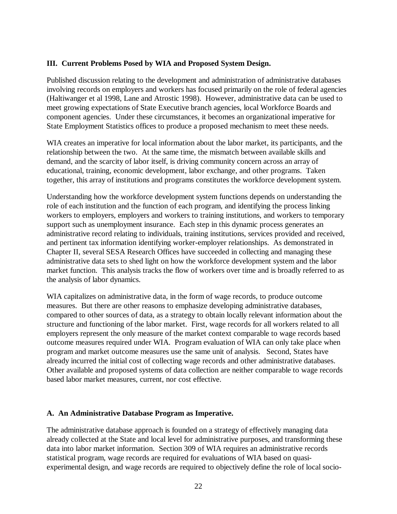### **III. Current Problems Posed by WIA and Proposed System Design.**

Published discussion relating to the development and administration of administrative databases involving records on employers and workers has focused primarily on the role of federal agencies (Haltiwanger et al 1998, Lane and Atrostic 1998). However, administrative data can be used to meet growing expectations of State Executive branch agencies, local Workforce Boards and component agencies. Under these circumstances, it becomes an organizational imperative for State Employment Statistics offices to produce a proposed mechanism to meet these needs.

WIA creates an imperative for local information about the labor market, its participants, and the relationship between the two. At the same time, the mismatch between available skills and demand, and the scarcity of labor itself, is driving community concern across an array of educational, training, economic development, labor exchange, and other programs. Taken together, this array of institutions and programs constitutes the workforce development system.

Understanding how the workforce development system functions depends on understanding the role of each institution and the function of each program, and identifying the process linking workers to employers, employers and workers to training institutions, and workers to temporary support such as unemployment insurance. Each step in this dynamic process generates an administrative record relating to individuals, training institutions, services provided and received, and pertinent tax information identifying worker-employer relationships. As demonstrated in Chapter II, several SESA Research Offices have succeeded in collecting and managing these administrative data sets to shed light on how the workforce development system and the labor market function. This analysis tracks the flow of workers over time and is broadly referred to as the analysis of labor dynamics.

WIA capitalizes on administrative data, in the form of wage records, to produce outcome measures. But there are other reasons to emphasize developing administrative databases, compared to other sources of data, as a strategy to obtain locally relevant information about the structure and functioning of the labor market. First, wage records for all workers related to all employers represent the only measure of the market context comparable to wage records based outcome measures required under WIA. Program evaluation of WIA can only take place when program and market outcome measures use the same unit of analysis. Second, States have already incurred the initial cost of collecting wage records and other administrative databases. Other available and proposed systems of data collection are neither comparable to wage records based labor market measures, current, nor cost effective.

#### **A. An Administrative Database Program as Imperative.**

The administrative database approach is founded on a strategy of effectively managing data already collected at the State and local level for administrative purposes, and transforming these data into labor market information. Section 309 of WIA requires an administrative records statistical program, wage records are required for evaluations of WIA based on quasiexperimental design, and wage records are required to objectively define the role of local socio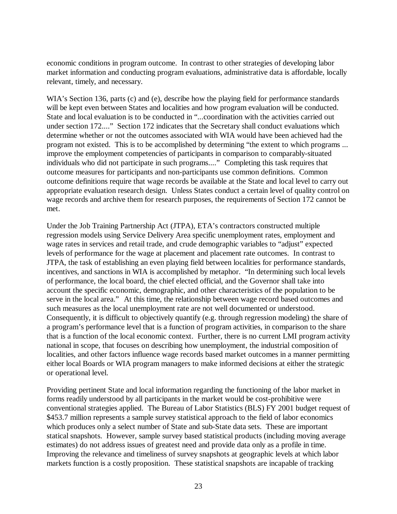economic conditions in program outcome. In contrast to other strategies of developing labor market information and conducting program evaluations, administrative data is affordable, locally relevant, timely, and necessary.

WIA's Section 136, parts (c) and (e), describe how the playing field for performance standards will be kept even between States and localities and how program evaluation will be conducted. State and local evaluation is to be conducted in "...coordination with the activities carried out under section 172...." Section 172 indicates that the Secretary shall conduct evaluations which determine whether or not the outcomes associated with WIA would have been achieved had the program not existed. This is to be accomplished by determining "the extent to which programs ... improve the employment competencies of participants in comparison to comparably-situated individuals who did not participate in such programs...." Completing this task requires that outcome measures for participants and non-participants use common definitions. Common outcome definitions require that wage records be available at the State and local level to carry out appropriate evaluation research design. Unless States conduct a certain level of quality control on wage records and archive them for research purposes, the requirements of Section 172 cannot be met.

Under the Job Training Partnership Act (JTPA), ETA's contractors constructed multiple regression models using Service Delivery Area specific unemployment rates, employment and wage rates in services and retail trade, and crude demographic variables to "adjust" expected levels of performance for the wage at placement and placement rate outcomes. In contrast to JTPA, the task of establishing an even playing field between localities for performance standards, incentives, and sanctions in WIA is accomplished by metaphor. "In determining such local levels of performance, the local board, the chief elected official, and the Governor shall take into account the specific economic, demographic, and other characteristics of the population to be serve in the local area." At this time, the relationship between wage record based outcomes and such measures as the local unemployment rate are not well documented or understood. Consequently, it is difficult to objectively quantify (e.g. through regression modeling) the share of a program's performance level that is a function of program activities, in comparison to the share that is a function of the local economic context. Further, there is no current LMI program activity national in scope, that focuses on describing how unemployment, the industrial composition of localities, and other factors influence wage records based market outcomes in a manner permitting either local Boards or WIA program managers to make informed decisions at either the strategic or operational level.

Providing pertinent State and local information regarding the functioning of the labor market in forms readily understood by all participants in the market would be cost-prohibitive were conventional strategies applied. The Bureau of Labor Statistics (BLS) FY 2001 budget request of \$453.7 million represents a sample survey statistical approach to the field of labor economics which produces only a select number of State and sub-State data sets. These are important statical snapshots. However, sample survey based statistical products (including moving average estimates) do not address issues of greatest need and provide data only as a profile in time. Improving the relevance and timeliness of survey snapshots at geographic levels at which labor markets function is a costly proposition. These statistical snapshots are incapable of tracking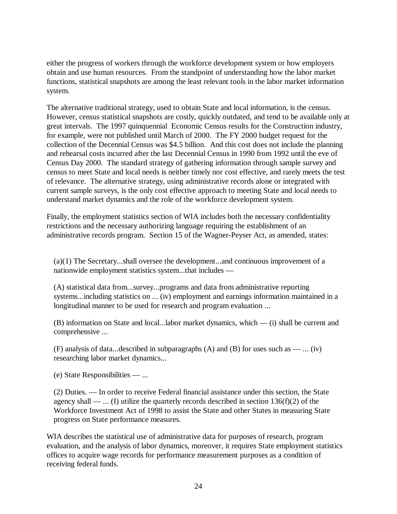either the progress of workers through the workforce development system or how employers obtain and use human resources. From the standpoint of understanding how the labor market functions, statistical snapshots are among the least relevant tools in the labor market information system.

The alternative traditional strategy, used to obtain State and local information, is the census. However, census statistical snapshots are costly, quickly outdated, and tend to be available only at great intervals. The 1997 quinquennial Economic Census results for the Construction industry, for example, were not published until March of 2000. The FY 2000 budget request for the collection of the Decennial Census was \$4.5 billion. And this cost does not include the planning and rehearsal costs incurred after the last Decennial Census in 1990 from 1992 until the eve of Census Day 2000. The standard strategy of gathering information through sample survey and census to meet State and local needs is neither timely nor cost effective, and rarely meets the test of relevance. The alternative strategy, using administrative records alone or integrated with current sample surveys, is the only cost effective approach to meeting State and local needs to understand market dynamics and the role of the workforce development system.

Finally, the employment statistics section of WIA includes both the necessary confidentiality restrictions and the necessary authorizing language requiring the establishment of an administrative records program. Section 15 of the Wagner-Peyser Act, as amended, states:

(a)(1) The Secretary...shall oversee the development...and continuous improvement of a nationwide employment statistics system...that includes —

(A) statistical data from...survey...programs and data from administrative reporting systems...including statistics on ... (iv) employment and earnings information maintained in a longitudinal manner to be used for research and program evaluation ...

(B) information on State and local...labor market dynamics, which — (i) shall be current and comprehensive ...

(F) analysis of data...described in subparagraphs (A) and (B) for uses such as — ... (iv) researching labor market dynamics...

(e) State Responsibilities — ...

(2) Duties. — In order to receive Federal financial assistance under this section, the State agency shall — ... (I) utilize the quarterly records described in section  $136(f)(2)$  of the Workforce Investment Act of 1998 to assist the State and other States in measuring State progress on State performance measures.

WIA describes the statistical use of administrative data for purposes of research, program evaluation, and the analysis of labor dynamics, moreover, it requires State employment statistics offices to acquire wage records for performance measurement purposes as a condition of receiving federal funds.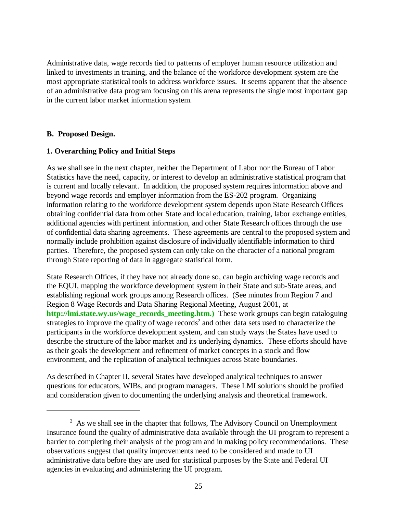Administrative data, wage records tied to patterns of employer human resource utilization and linked to investments in training, and the balance of the workforce development system are the most appropriate statistical tools to address workforce issues. It seems apparent that the absence of an administrative data program focusing on this arena represents the single most important gap in the current labor market information system.

### **B. Proposed Design.**

### **1. Overarching Policy and Initial Steps**

As we shall see in the next chapter, neither the Department of Labor nor the Bureau of Labor Statistics have the need, capacity, or interest to develop an administrative statistical program that is current and locally relevant. In addition, the proposed system requires information above and beyond wage records and employer information from the ES-202 program. Organizing information relating to the workforce development system depends upon State Research Offices obtaining confidential data from other State and local education, training, labor exchange entities, additional agencies with pertinent information, and other State Research offices through the use of confidential data sharing agreements. These agreements are central to the proposed system and normally include prohibition against disclosure of individually identifiable information to third parties. Therefore, the proposed system can only take on the character of a national program through State reporting of data in aggregate statistical form.

State Research Offices, if they have not already done so, can begin archiving wage records and the EQUI, mapping the workforce development system in their State and sub-State areas, and establishing regional work groups among Research offices. (See minutes from Region 7 and Region 8 Wage Records and Data Sharing Regional Meeting, August 2001, at **http://lmi.state.wy.us/wage\_records\_meeting.htm.)** These work groups can begin cataloguing strategies to improve the quality of wage records<sup>2</sup> and other data sets used to characterize the participants in the workforce development system, and can study ways the States have used to describe the structure of the labor market and its underlying dynamics. These efforts should have as their goals the development and refinement of market concepts in a stock and flow environment, and the replication of analytical techniques across State boundaries.

As described in Chapter II, several States have developed analytical techniques to answer questions for educators, WIBs, and program managers. These LMI solutions should be profiled and consideration given to documenting the underlying analysis and theoretical framework.

 $2^2$  As we shall see in the chapter that follows, The Advisory Council on Unemployment Insurance found the quality of administrative data available through the UI program to represent a barrier to completing their analysis of the program and in making policy recommendations. These observations suggest that quality improvements need to be considered and made to UI administrative data before they are used for statistical purposes by the State and Federal UI agencies in evaluating and administering the UI program.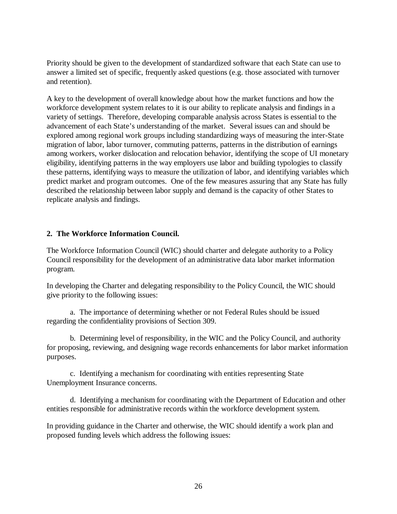Priority should be given to the development of standardized software that each State can use to answer a limited set of specific, frequently asked questions (e.g. those associated with turnover and retention).

A key to the development of overall knowledge about how the market functions and how the workforce development system relates to it is our ability to replicate analysis and findings in a variety of settings. Therefore, developing comparable analysis across States is essential to the advancement of each State's understanding of the market. Several issues can and should be explored among regional work groups including standardizing ways of measuring the inter-State migration of labor, labor turnover, commuting patterns, patterns in the distribution of earnings among workers, worker dislocation and relocation behavior, identifying the scope of UI monetary eligibility, identifying patterns in the way employers use labor and building typologies to classify these patterns, identifying ways to measure the utilization of labor, and identifying variables which predict market and program outcomes. One of the few measures assuring that any State has fully described the relationship between labor supply and demand is the capacity of other States to replicate analysis and findings.

# **2. The Workforce Information Council.**

The Workforce Information Council (WIC) should charter and delegate authority to a Policy Council responsibility for the development of an administrative data labor market information program.

In developing the Charter and delegating responsibility to the Policy Council, the WIC should give priority to the following issues:

a. The importance of determining whether or not Federal Rules should be issued regarding the confidentiality provisions of Section 309.

b. Determining level of responsibility, in the WIC and the Policy Council, and authority for proposing, reviewing, and designing wage records enhancements for labor market information purposes.

c. Identifying a mechanism for coordinating with entities representing State Unemployment Insurance concerns.

d. Identifying a mechanism for coordinating with the Department of Education and other entities responsible for administrative records within the workforce development system.

In providing guidance in the Charter and otherwise, the WIC should identify a work plan and proposed funding levels which address the following issues: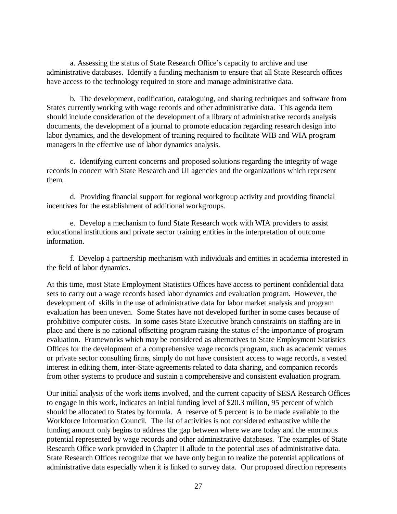a. Assessing the status of State Research Office's capacity to archive and use administrative databases. Identify a funding mechanism to ensure that all State Research offices have access to the technology required to store and manage administrative data.

b. The development, codification, cataloguing, and sharing techniques and software from States currently working with wage records and other administrative data. This agenda item should include consideration of the development of a library of administrative records analysis documents, the development of a journal to promote education regarding research design into labor dynamics, and the development of training required to facilitate WIB and WIA program managers in the effective use of labor dynamics analysis.

c. Identifying current concerns and proposed solutions regarding the integrity of wage records in concert with State Research and UI agencies and the organizations which represent them.

d. Providing financial support for regional workgroup activity and providing financial incentives for the establishment of additional workgroups.

e. Develop a mechanism to fund State Research work with WIA providers to assist educational institutions and private sector training entities in the interpretation of outcome information.

f. Develop a partnership mechanism with individuals and entities in academia interested in the field of labor dynamics.

At this time, most State Employment Statistics Offices have access to pertinent confidential data sets to carry out a wage records based labor dynamics and evaluation program. However, the development of skills in the use of administrative data for labor market analysis and program evaluation has been uneven. Some States have not developed further in some cases because of prohibitive computer costs. In some cases State Executive branch constraints on staffing are in place and there is no national offsetting program raising the status of the importance of program evaluation. Frameworks which may be considered as alternatives to State Employment Statistics Offices for the development of a comprehensive wage records program, such as academic venues or private sector consulting firms, simply do not have consistent access to wage records, a vested interest in editing them, inter-State agreements related to data sharing, and companion records from other systems to produce and sustain a comprehensive and consistent evaluation program.

Our initial analysis of the work items involved, and the current capacity of SESA Research Offices to engage in this work, indicates an initial funding level of \$20.3 million, 95 percent of which should be allocated to States by formula. A reserve of 5 percent is to be made available to the Workforce Information Council. The list of activities is not considered exhaustive while the funding amount only begins to address the gap between where we are today and the enormous potential represented by wage records and other administrative databases. The examples of State Research Office work provided in Chapter II allude to the potential uses of administrative data. State Research Offices recognize that we have only begun to realize the potential applications of administrative data especially when it is linked to survey data. Our proposed direction represents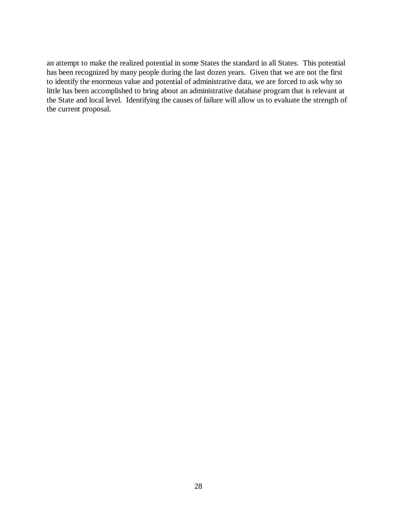an attempt to make the realized potential in some States the standard in all States. This potential has been recognized by many people during the last dozen years. Given that we are not the first to identify the enormous value and potential of administrative data, we are forced to ask why so little has been accomplished to bring about an administrative database program that is relevant at the State and local level. Identifying the causes of failure will allow us to evaluate the strength of the current proposal.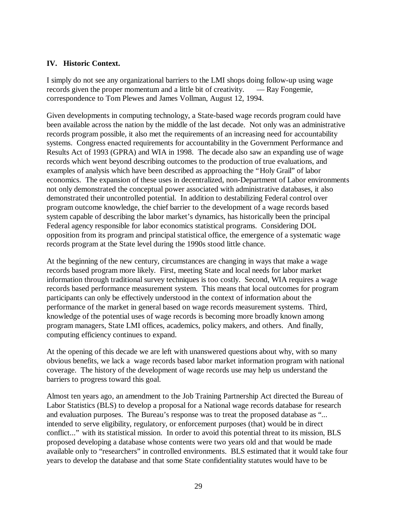# **IV. Historic Context.**

I simply do not see any organizational barriers to the LMI shops doing follow-up using wage records given the proper momentum and a little bit of creativity. — Ray Fongemie, correspondence to Tom Plewes and James Vollman, August 12, 1994.

Given developments in computing technology, a State-based wage records program could have been available across the nation by the middle of the last decade. Not only was an administrative records program possible, it also met the requirements of an increasing need for accountability systems. Congress enacted requirements for accountability in the Government Performance and Results Act of 1993 (GPRA) and WIA in 1998. The decade also saw an expanding use of wage records which went beyond describing outcomes to the production of true evaluations, and examples of analysis which have been described as approaching the "Holy Grail" of labor economics. The expansion of these uses in decentralized, non-Department of Labor environments not only demonstrated the conceptual power associated with administrative databases, it also demonstrated their uncontrolled potential. In addition to destabilizing Federal control over program outcome knowledge, the chief barrier to the development of a wage records based system capable of describing the labor market's dynamics, has historically been the principal Federal agency responsible for labor economics statistical programs. Considering DOL opposition from its program and principal statistical office, the emergence of a systematic wage records program at the State level during the 1990s stood little chance.

At the beginning of the new century, circumstances are changing in ways that make a wage records based program more likely. First, meeting State and local needs for labor market information through traditional survey techniques is too costly. Second, WIA requires a wage records based performance measurement system. This means that local outcomes for program participants can only be effectively understood in the context of information about the performance of the market in general based on wage records measurement systems. Third, knowledge of the potential uses of wage records is becoming more broadly known among program managers, State LMI offices, academics, policy makers, and others. And finally, computing efficiency continues to expand.

At the opening of this decade we are left with unanswered questions about why, with so many obvious benefits, we lack a wage records based labor market information program with national coverage. The history of the development of wage records use may help us understand the barriers to progress toward this goal.

Almost ten years ago, an amendment to the Job Training Partnership Act directed the Bureau of Labor Statistics (BLS) to develop a proposal for a National wage records database for research and evaluation purposes. The Bureau's response was to treat the proposed database as "... intended to serve eligibility, regulatory, or enforcement purposes (that) would be in direct conflict..." with its statistical mission. In order to avoid this potential threat to its mission, BLS proposed developing a database whose contents were two years old and that would be made available only to "researchers" in controlled environments. BLS estimated that it would take four years to develop the database and that some State confidentiality statutes would have to be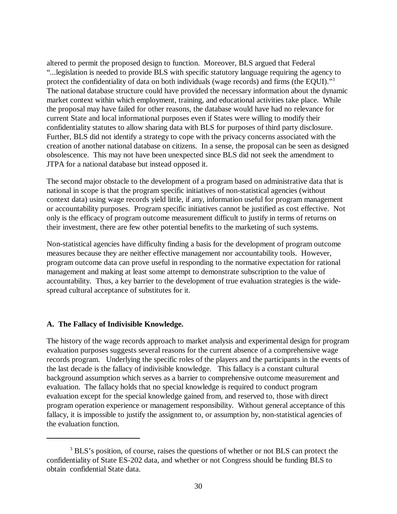altered to permit the proposed design to function. Moreover, BLS argued that Federal "...legislation is needed to provide BLS with specific statutory language requiring the agency to protect the confidentiality of data on both individuals (wage records) and firms (the EQUI)."<sup>3</sup> The national database structure could have provided the necessary information about the dynamic market context within which employment, training, and educational activities take place. While the proposal may have failed for other reasons, the database would have had no relevance for current State and local informational purposes even if States were willing to modify their confidentiality statutes to allow sharing data with BLS for purposes of third party disclosure. Further, BLS did not identify a strategy to cope with the privacy concerns associated with the creation of another national database on citizens. In a sense, the proposal can be seen as designed obsolescence. This may not have been unexpected since BLS did not seek the amendment to JTPA for a national database but instead opposed it.

The second major obstacle to the development of a program based on administrative data that is national in scope is that the program specific initiatives of non-statistical agencies (without context data) using wage records yield little, if any, information useful for program management or accountability purposes. Program specific initiatives cannot be justified as cost effective. Not only is the efficacy of program outcome measurement difficult to justify in terms of returns on their investment, there are few other potential benefits to the marketing of such systems.

Non-statistical agencies have difficulty finding a basis for the development of program outcome measures because they are neither effective management nor accountability tools. However, program outcome data can prove useful in responding to the normative expectation for rational management and making at least some attempt to demonstrate subscription to the value of accountability. Thus, a key barrier to the development of true evaluation strategies is the widespread cultural acceptance of substitutes for it.

# **A. The Fallacy of Indivisible Knowledge.**

The history of the wage records approach to market analysis and experimental design for program evaluation purposes suggests several reasons for the current absence of a comprehensive wage records program. Underlying the specific roles of the players and the participants in the events of the last decade is the fallacy of indivisible knowledge. This fallacy is a constant cultural background assumption which serves as a barrier to comprehensive outcome measurement and evaluation. The fallacy holds that no special knowledge is required to conduct program evaluation except for the special knowledge gained from, and reserved to, those with direct program operation experience or management responsibility. Without general acceptance of this fallacy, it is impossible to justify the assignment to, or assumption by, non-statistical agencies of the evaluation function.

<sup>&</sup>lt;sup>3</sup> BLS's position, of course, raises the questions of whether or not BLS can protect the confidentiality of State ES-202 data, and whether or not Congress should be funding BLS to obtain confidential State data.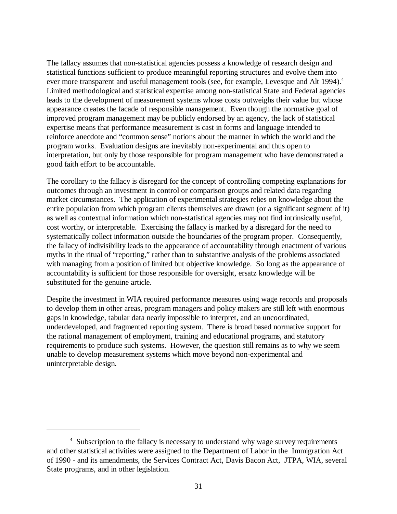The fallacy assumes that non-statistical agencies possess a knowledge of research design and statistical functions sufficient to produce meaningful reporting structures and evolve them into ever more transparent and useful management tools (see, for example, Levesque and Alt 1994).<sup>4</sup> Limited methodological and statistical expertise among non-statistical State and Federal agencies leads to the development of measurement systems whose costs outweighs their value but whose appearance creates the facade of responsible management. Even though the normative goal of improved program management may be publicly endorsed by an agency, the lack of statistical expertise means that performance measurement is cast in forms and language intended to reinforce anecdote and "common sense" notions about the manner in which the world and the program works. Evaluation designs are inevitably non-experimental and thus open to interpretation, but only by those responsible for program management who have demonstrated a good faith effort to be accountable.

The corollary to the fallacy is disregard for the concept of controlling competing explanations for outcomes through an investment in control or comparison groups and related data regarding market circumstances. The application of experimental strategies relies on knowledge about the entire population from which program clients themselves are drawn (or a significant segment of it) as well as contextual information which non-statistical agencies may not find intrinsically useful, cost worthy, or interpretable. Exercising the fallacy is marked by a disregard for the need to systematically collect information outside the boundaries of the program proper. Consequently, the fallacy of indivisibility leads to the appearance of accountability through enactment of various myths in the ritual of "reporting," rather than to substantive analysis of the problems associated with managing from a position of limited but objective knowledge. So long as the appearance of accountability is sufficient for those responsible for oversight, ersatz knowledge will be substituted for the genuine article.

Despite the investment in WIA required performance measures using wage records and proposals to develop them in other areas, program managers and policy makers are still left with enormous gaps in knowledge, tabular data nearly impossible to interpret, and an uncoordinated, underdeveloped, and fragmented reporting system. There is broad based normative support for the rational management of employment, training and educational programs, and statutory requirements to produce such systems. However, the question still remains as to why we seem unable to develop measurement systems which move beyond non-experimental and uninterpretable design.

<sup>&</sup>lt;sup>4</sup> Subscription to the fallacy is necessary to understand why wage survey requirements and other statistical activities were assigned to the Department of Labor in the Immigration Act of 1990 - and its amendments, the Services Contract Act, Davis Bacon Act, JTPA, WIA, several State programs, and in other legislation.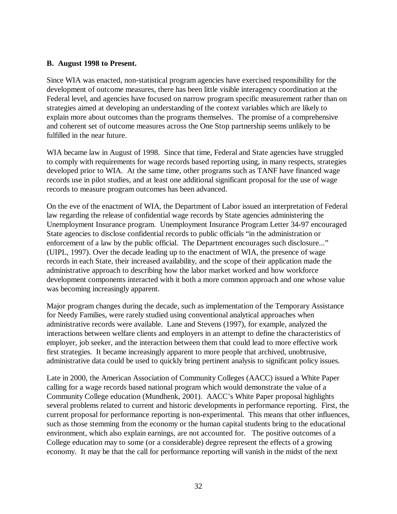### **B. August 1998 to Present.**

Since WIA was enacted, non-statistical program agencies have exercised responsibility for the development of outcome measures, there has been little visible interagency coordination at the Federal level, and agencies have focused on narrow program specific measurement rather than on strategies aimed at developing an understanding of the context variables which are likely to explain more about outcomes than the programs themselves. The promise of a comprehensive and coherent set of outcome measures across the One Stop partnership seems unlikely to be fulfilled in the near future.

WIA became law in August of 1998. Since that time, Federal and State agencies have struggled to comply with requirements for wage records based reporting using, in many respects, strategies developed prior to WIA. At the same time, other programs such as TANF have financed wage records use in pilot studies, and at least one additional significant proposal for the use of wage records to measure program outcomes has been advanced.

On the eve of the enactment of WIA, the Department of Labor issued an interpretation of Federal law regarding the release of confidential wage records by State agencies administering the Unemployment Insurance program. Unemployment Insurance Program Letter 34-97 encouraged State agencies to disclose confidential records to public officials "in the administration or enforcement of a law by the public official. The Department encourages such disclosure..." (UIPL, 1997). Over the decade leading up to the enactment of WIA, the presence of wage records in each State, their increased availability, and the scope of their application made the administrative approach to describing how the labor market worked and how workforce development components interacted with it both a more common approach and one whose value was becoming increasingly apparent.

Major program changes during the decade, such as implementation of the Temporary Assistance for Needy Families, were rarely studied using conventional analytical approaches when administrative records were available. Lane and Stevens (1997), for example, analyzed the interactions between welfare clients and employers in an attempt to define the characteristics of employer, job seeker, and the interaction between them that could lead to more effective work first strategies. It became increasingly apparent to more people that archived, unobtrusive, administrative data could be used to quickly bring pertinent analysis to significant policy issues.

Late in 2000, the American Association of Community Colleges (AACC) issued a White Paper calling for a wage records based national program which would demonstrate the value of a Community College education (Mundhenk, 2001). AACC's White Paper proposal highlights several problems related to current and historic developments in performance reporting. First, the current proposal for performance reporting is non-experimental. This means that other influences, such as those stemming from the economy or the human capital students bring to the educational environment, which also explain earnings, are not accounted for. The positive outcomes of a College education may to some (or a considerable) degree represent the effects of a growing economy. It may be that the call for performance reporting will vanish in the midst of the next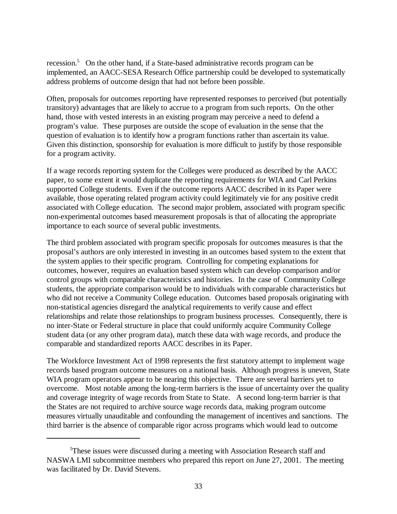recession.<sup>5</sup> On the other hand, if a State-based administrative records program can be implemented, an AACC-SESA Research Office partnership could be developed to systematically address problems of outcome design that had not before been possible.

Often, proposals for outcomes reporting have represented responses to perceived (but potentially transitory) advantages that are likely to accrue to a program from such reports. On the other hand, those with vested interests in an existing program may perceive a need to defend a program's value. These purposes are outside the scope of evaluation in the sense that the question of evaluation is to identify how a program functions rather than ascertain its value. Given this distinction, sponsorship for evaluation is more difficult to justify by those responsible for a program activity.

If a wage records reporting system for the Colleges were produced as described by the AACC paper, to some extent it would duplicate the reporting requirements for WIA and Carl Perkins supported College students. Even if the outcome reports AACC described in its Paper were available, those operating related program activity could legitimately vie for any positive credit associated with College education. The second major problem, associated with program specific non-experimental outcomes based measurement proposals is that of allocating the appropriate importance to each source of several public investments.

The third problem associated with program specific proposals for outcomes measures is that the proposal's authors are only interested in investing in an outcomes based system to the extent that the system applies to their specific program. Controlling for competing explanations for outcomes, however, requires an evaluation based system which can develop comparison and/or control groups with comparable characteristics and histories. In the case of Community College students, the appropriate comparison would be to individuals with comparable characteristics but who did not receive a Community College education. Outcomes based proposals originating with non-statistical agencies disregard the analytical requirements to verify cause and effect relationships and relate those relationships to program business processes. Consequently, there is no inter-State or Federal structure in place that could uniformly acquire Community College student data (or any other program data), match these data with wage records, and produce the comparable and standardized reports AACC describes in its Paper.

The Workforce Investment Act of 1998 represents the first statutory attempt to implement wage records based program outcome measures on a national basis. Although progress is uneven, State WIA program operators appear to be nearing this objective. There are several barriers yet to overcome. Most notable among the long-term barriers is the issue of uncertainty over the quality and coverage integrity of wage records from State to State. A second long-term barrier is that the States are not required to archive source wage records data, making program outcome measures virtually unauditable and confounding the management of incentives and sanctions. The third barrier is the absence of comparable rigor across programs which would lead to outcome

<sup>&</sup>lt;sup>5</sup>These issues were discussed during a meeting with Association Research staff and NASWA LMI subcommittee members who prepared this report on June 27, 2001. The meeting was facilitated by Dr. David Stevens.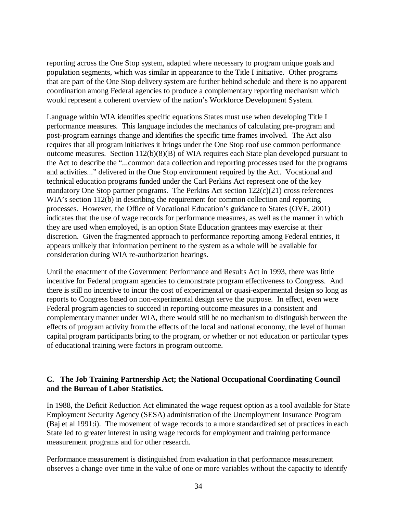reporting across the One Stop system, adapted where necessary to program unique goals and population segments, which was similar in appearance to the Title I initiative. Other programs that are part of the One Stop delivery system are further behind schedule and there is no apparent coordination among Federal agencies to produce a complementary reporting mechanism which would represent a coherent overview of the nation's Workforce Development System.

Language within WIA identifies specific equations States must use when developing Title I performance measures. This language includes the mechanics of calculating pre-program and post-program earnings change and identifies the specific time frames involved. The Act also requires that all program initiatives it brings under the One Stop roof use common performance outcome measures. Section 112(b)(8)(B) of WIA requires each State plan developed pursuant to the Act to describe the "...common data collection and reporting processes used for the programs and activities..." delivered in the One Stop environment required by the Act. Vocational and technical education programs funded under the Carl Perkins Act represent one of the key mandatory One Stop partner programs. The Perkins Act section 122(c)(21) cross references WIA's section 112(b) in describing the requirement for common collection and reporting processes. However, the Office of Vocational Education's guidance to States (OVE, 2001) indicates that the use of wage records for performance measures, as well as the manner in which they are used when employed, is an option State Education grantees may exercise at their discretion. Given the fragmented approach to performance reporting among Federal entities, it appears unlikely that information pertinent to the system as a whole will be available for consideration during WIA re-authorization hearings.

Until the enactment of the Government Performance and Results Act in 1993, there was little incentive for Federal program agencies to demonstrate program effectiveness to Congress. And there is still no incentive to incur the cost of experimental or quasi-experimental design so long as reports to Congress based on non-experimental design serve the purpose. In effect, even were Federal program agencies to succeed in reporting outcome measures in a consistent and complementary manner under WIA, there would still be no mechanism to distinguish between the effects of program activity from the effects of the local and national economy, the level of human capital program participants bring to the program, or whether or not education or particular types of educational training were factors in program outcome.

# **C. The Job Training Partnership Act; the National Occupational Coordinating Council and the Bureau of Labor Statistics.**

In 1988, the Deficit Reduction Act eliminated the wage request option as a tool available for State Employment Security Agency (SESA) administration of the Unemployment Insurance Program (Baj et al 1991:i). The movement of wage records to a more standardized set of practices in each State led to greater interest in using wage records for employment and training performance measurement programs and for other research.

Performance measurement is distinguished from evaluation in that performance measurement observes a change over time in the value of one or more variables without the capacity to identify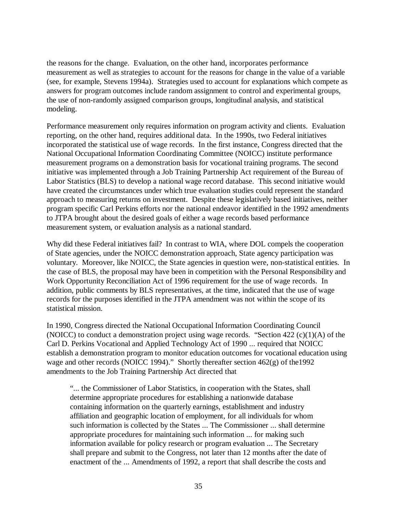the reasons for the change. Evaluation, on the other hand, incorporates performance measurement as well as strategies to account for the reasons for change in the value of a variable (see, for example, Stevens 1994a). Strategies used to account for explanations which compete as answers for program outcomes include random assignment to control and experimental groups, the use of non-randomly assigned comparison groups, longitudinal analysis, and statistical modeling.

Performance measurement only requires information on program activity and clients. Evaluation reporting, on the other hand, requires additional data. In the 1990s, two Federal initiatives incorporated the statistical use of wage records. In the first instance, Congress directed that the National Occupational Information Coordinating Committee (NOICC) institute performance measurement programs on a demonstration basis for vocational training programs. The second initiative was implemented through a Job Training Partnership Act requirement of the Bureau of Labor Statistics (BLS) to develop a national wage record database. This second initiative would have created the circumstances under which true evaluation studies could represent the standard approach to measuring returns on investment. Despite these legislatively based initiatives, neither program specific Carl Perkins efforts nor the national endeavor identified in the 1992 amendments to JTPA brought about the desired goals of either a wage records based performance measurement system, or evaluation analysis as a national standard.

Why did these Federal initiatives fail? In contrast to WIA, where DOL compels the cooperation of State agencies, under the NOICC demonstration approach, State agency participation was voluntary. Moreover, like NOICC, the State agencies in question were, non-statistical entities. In the case of BLS, the proposal may have been in competition with the Personal Responsibility and Work Opportunity Reconciliation Act of 1996 requirement for the use of wage records. In addition, public comments by BLS representatives, at the time, indicated that the use of wage records for the purposes identified in the JTPA amendment was not within the scope of its statistical mission.

In 1990, Congress directed the National Occupational Information Coordinating Council (NOICC) to conduct a demonstration project using wage records. "Section 422  $(c)(1)(A)$  of the Carl D. Perkins Vocational and Applied Technology Act of 1990 ... required that NOICC establish a demonstration program to monitor education outcomes for vocational education using wage and other records (NOICC 1994)." Shortly thereafter section 462(g) of the1992 amendments to the Job Training Partnership Act directed that

"... the Commissioner of Labor Statistics, in cooperation with the States, shall determine appropriate procedures for establishing a nationwide database containing information on the quarterly earnings, establishment and industry affiliation and geographic location of employment, for all individuals for whom such information is collected by the States ... The Commissioner ... shall determine appropriate procedures for maintaining such information ... for making such information available for policy research or program evaluation ... The Secretary shall prepare and submit to the Congress, not later than 12 months after the date of enactment of the ... Amendments of 1992, a report that shall describe the costs and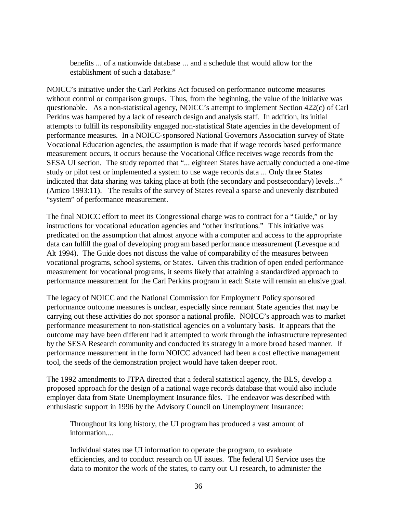benefits ... of a nationwide database ... and a schedule that would allow for the establishment of such a database."

NOICC's initiative under the Carl Perkins Act focused on performance outcome measures without control or comparison groups. Thus, from the beginning, the value of the initiative was questionable. As a non-statistical agency, NOICC's attempt to implement Section 422(c) of Carl Perkins was hampered by a lack of research design and analysis staff. In addition, its initial attempts to fulfill its responsibility engaged non-statistical State agencies in the development of performance measures. In a NOICC-sponsored National Governors Association survey of State Vocational Education agencies, the assumption is made that if wage records based performance measurement occurs, it occurs because the Vocational Office receives wage records from the SESA UI section. The study reported that "... eighteen States have actually conducted a one-time study or pilot test or implemented a system to use wage records data ... Only three States indicated that data sharing was taking place at both (the secondary and postsecondary) levels..." (Amico 1993:11). The results of the survey of States reveal a sparse and unevenly distributed "system" of performance measurement.

The final NOICC effort to meet its Congressional charge was to contract for a "Guide," or lay instructions for vocational education agencies and "other institutions." This initiative was predicated on the assumption that almost anyone with a computer and access to the appropriate data can fulfill the goal of developing program based performance measurement (Levesque and Alt 1994). The Guide does not discuss the value of comparability of the measures between vocational programs, school systems, or States. Given this tradition of open ended performance measurement for vocational programs, it seems likely that attaining a standardized approach to performance measurement for the Carl Perkins program in each State will remain an elusive goal.

The legacy of NOICC and the National Commission for Employment Policy sponsored performance outcome measures is unclear, especially since remnant State agencies that may be carrying out these activities do not sponsor a national profile. NOICC's approach was to market performance measurement to non-statistical agencies on a voluntary basis. It appears that the outcome may have been different had it attempted to work through the infrastructure represented by the SESA Research community and conducted its strategy in a more broad based manner. If performance measurement in the form NOICC advanced had been a cost effective management tool, the seeds of the demonstration project would have taken deeper root.

The 1992 amendments to JTPA directed that a federal statistical agency, the BLS, develop a proposed approach for the design of a national wage records database that would also include employer data from State Unemployment Insurance files. The endeavor was described with enthusiastic support in 1996 by the Advisory Council on Unemployment Insurance:

Throughout its long history, the UI program has produced a vast amount of information....

Individual states use UI information to operate the program, to evaluate efficiencies, and to conduct research on UI issues. The federal UI Service uses the data to monitor the work of the states, to carry out UI research, to administer the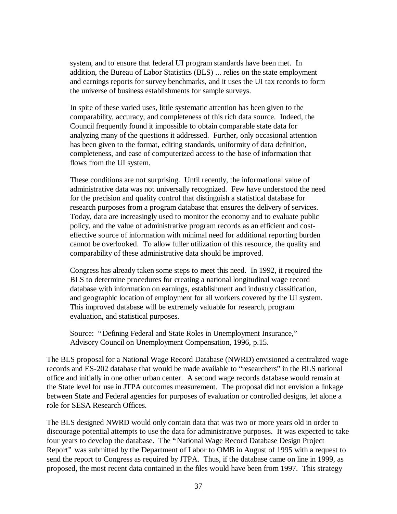system, and to ensure that federal UI program standards have been met. In addition, the Bureau of Labor Statistics (BLS) ... relies on the state employment and earnings reports for survey benchmarks, and it uses the UI tax records to form the universe of business establishments for sample surveys.

In spite of these varied uses, little systematic attention has been given to the comparability, accuracy, and completeness of this rich data source. Indeed, the Council frequently found it impossible to obtain comparable state data for analyzing many of the questions it addressed. Further, only occasional attention has been given to the format, editing standards, uniformity of data definition, completeness, and ease of computerized access to the base of information that flows from the UI system.

These conditions are not surprising. Until recently, the informational value of administrative data was not universally recognized. Few have understood the need for the precision and quality control that distinguish a statistical database for research purposes from a program database that ensures the delivery of services. Today, data are increasingly used to monitor the economy and to evaluate public policy, and the value of administrative program records as an efficient and costeffective source of information with minimal need for additional reporting burden cannot be overlooked. To allow fuller utilization of this resource, the quality and comparability of these administrative data should be improved.

Congress has already taken some steps to meet this need. In 1992, it required the BLS to determine procedures for creating a national longitudinal wage record database with information on earnings, establishment and industry classification, and geographic location of employment for all workers covered by the UI system. This improved database will be extremely valuable for research, program evaluation, and statistical purposes.

Source: "Defining Federal and State Roles in Unemployment Insurance," Advisory Council on Unemployment Compensation, 1996, p.15.

The BLS proposal for a National Wage Record Database (NWRD) envisioned a centralized wage records and ES-202 database that would be made available to "researchers" in the BLS national office and initially in one other urban center. A second wage records database would remain at the State level for use in JTPA outcomes measurement. The proposal did not envision a linkage between State and Federal agencies for purposes of evaluation or controlled designs, let alone a role for SESA Research Offices.

The BLS designed NWRD would only contain data that was two or more years old in order to discourage potential attempts to use the data for administrative purposes. It was expected to take four years to develop the database. The "National Wage Record Database Design Project Report" was submitted by the Department of Labor to OMB in August of 1995 with a request to send the report to Congress as required by JTPA. Thus, if the database came on line in 1999, as proposed, the most recent data contained in the files would have been from 1997. This strategy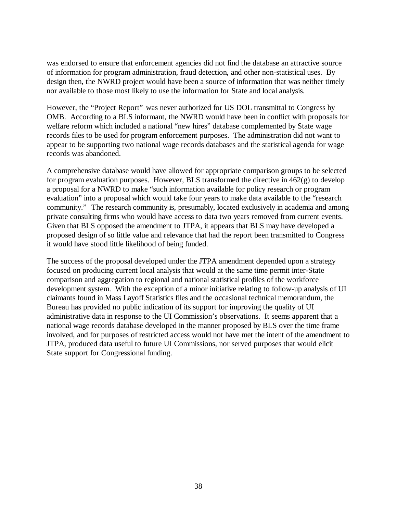was endorsed to ensure that enforcement agencies did not find the database an attractive source of information for program administration, fraud detection, and other non-statistical uses. By design then, the NWRD project would have been a source of information that was neither timely nor available to those most likely to use the information for State and local analysis.

However, the "Project Report" was never authorized for US DOL transmittal to Congress by OMB. According to a BLS informant, the NWRD would have been in conflict with proposals for welfare reform which included a national "new hires" database complemented by State wage records files to be used for program enforcement purposes. The administration did not want to appear to be supporting two national wage records databases and the statistical agenda for wage records was abandoned.

A comprehensive database would have allowed for appropriate comparison groups to be selected for program evaluation purposes. However, BLS transformed the directive in  $462(g)$  to develop a proposal for a NWRD to make "such information available for policy research or program evaluation" into a proposal which would take four years to make data available to the "research community." The research community is, presumably, located exclusively in academia and among private consulting firms who would have access to data two years removed from current events. Given that BLS opposed the amendment to JTPA, it appears that BLS may have developed a proposed design of so little value and relevance that had the report been transmitted to Congress it would have stood little likelihood of being funded.

The success of the proposal developed under the JTPA amendment depended upon a strategy focused on producing current local analysis that would at the same time permit inter-State comparison and aggregation to regional and national statistical profiles of the workforce development system. With the exception of a minor initiative relating to follow-up analysis of UI claimants found in Mass Layoff Statistics files and the occasional technical memorandum, the Bureau has provided no public indication of its support for improving the quality of UI administrative data in response to the UI Commission's observations. It seems apparent that a national wage records database developed in the manner proposed by BLS over the time frame involved, and for purposes of restricted access would not have met the intent of the amendment to JTPA, produced data useful to future UI Commissions, nor served purposes that would elicit State support for Congressional funding.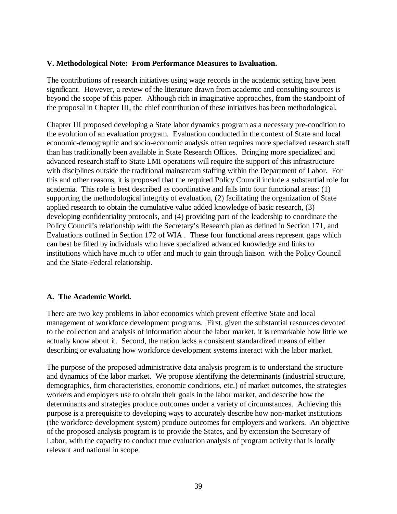### **V. Methodological Note: From Performance Measures to Evaluation.**

The contributions of research initiatives using wage records in the academic setting have been significant. However, a review of the literature drawn from academic and consulting sources is beyond the scope of this paper. Although rich in imaginative approaches, from the standpoint of the proposal in Chapter III, the chief contribution of these initiatives has been methodological.

Chapter III proposed developing a State labor dynamics program as a necessary pre-condition to the evolution of an evaluation program. Evaluation conducted in the context of State and local economic-demographic and socio-economic analysis often requires more specialized research staff than has traditionally been available in State Research Offices. Bringing more specialized and advanced research staff to State LMI operations will require the support of this infrastructure with disciplines outside the traditional mainstream staffing within the Department of Labor. For this and other reasons, it is proposed that the required Policy Council include a substantial role for academia. This role is best described as coordinative and falls into four functional areas: (1) supporting the methodological integrity of evaluation, (2) facilitating the organization of State applied research to obtain the cumulative value added knowledge of basic research, (3) developing confidentiality protocols, and (4) providing part of the leadership to coordinate the Policy Council's relationship with the Secretary's Research plan as defined in Section 171, and Evaluations outlined in Section 172 of WIA . These four functional areas represent gaps which can best be filled by individuals who have specialized advanced knowledge and links to institutions which have much to offer and much to gain through liaison with the Policy Council and the State-Federal relationship.

# **A. The Academic World.**

There are two key problems in labor economics which prevent effective State and local management of workforce development programs. First, given the substantial resources devoted to the collection and analysis of information about the labor market, it is remarkable how little we actually know about it. Second, the nation lacks a consistent standardized means of either describing or evaluating how workforce development systems interact with the labor market.

The purpose of the proposed administrative data analysis program is to understand the structure and dynamics of the labor market. We propose identifying the determinants (industrial structure, demographics, firm characteristics, economic conditions, etc.) of market outcomes, the strategies workers and employers use to obtain their goals in the labor market, and describe how the determinants and strategies produce outcomes under a variety of circumstances. Achieving this purpose is a prerequisite to developing ways to accurately describe how non-market institutions (the workforce development system) produce outcomes for employers and workers. An objective of the proposed analysis program is to provide the States, and by extension the Secretary of Labor, with the capacity to conduct true evaluation analysis of program activity that is locally relevant and national in scope.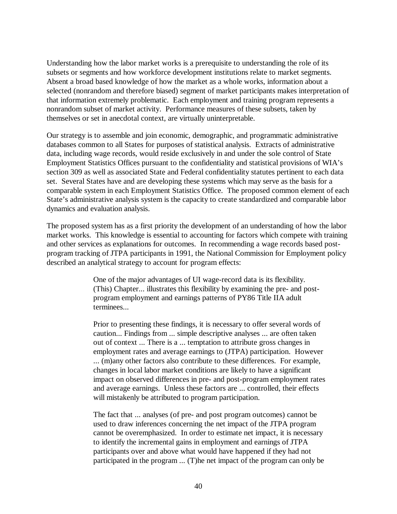Understanding how the labor market works is a prerequisite to understanding the role of its subsets or segments and how workforce development institutions relate to market segments. Absent a broad based knowledge of how the market as a whole works, information about a selected (nonrandom and therefore biased) segment of market participants makes interpretation of that information extremely problematic. Each employment and training program represents a nonrandom subset of market activity. Performance measures of these subsets, taken by themselves or set in anecdotal context, are virtually uninterpretable.

Our strategy is to assemble and join economic, demographic, and programmatic administrative databases common to all States for purposes of statistical analysis. Extracts of administrative data, including wage records, would reside exclusively in and under the sole control of State Employment Statistics Offices pursuant to the confidentiality and statistical provisions of WIA's section 309 as well as associated State and Federal confidentiality statutes pertinent to each data set. Several States have and are developing these systems which may serve as the basis for a comparable system in each Employment Statistics Office. The proposed common element of each State's administrative analysis system is the capacity to create standardized and comparable labor dynamics and evaluation analysis.

The proposed system has as a first priority the development of an understanding of how the labor market works. This knowledge is essential to accounting for factors which compete with training and other services as explanations for outcomes. In recommending a wage records based postprogram tracking of JTPA participants in 1991, the National Commission for Employment policy described an analytical strategy to account for program effects:

> One of the major advantages of UI wage-record data is its flexibility. (This) Chapter... illustrates this flexibility by examining the pre- and postprogram employment and earnings patterns of PY86 Title IIA adult terminees...

Prior to presenting these findings, it is necessary to offer several words of caution... Findings from ... simple descriptive analyses ... are often taken out of context ... There is a ... temptation to attribute gross changes in employment rates and average earnings to (JTPA) participation. However ... (m)any other factors also contribute to these differences. For example, changes in local labor market conditions are likely to have a significant impact on observed differences in pre- and post-program employment rates and average earnings. Unless these factors are ... controlled, their effects will mistakenly be attributed to program participation.

The fact that ... analyses (of pre- and post program outcomes) cannot be used to draw inferences concerning the net impact of the JTPA program cannot be overemphasized. In order to estimate net impact, it is necessary to identify the incremental gains in employment and earnings of JTPA participants over and above what would have happened if they had not participated in the program ... (T)he net impact of the program can only be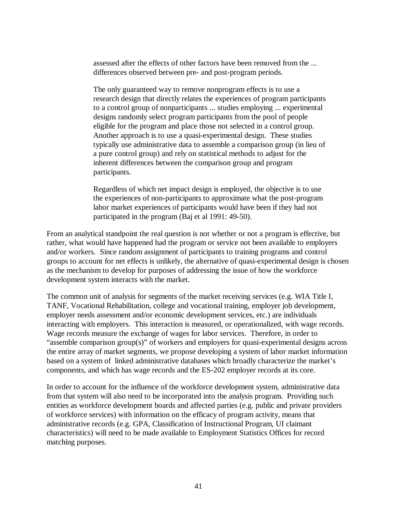assessed after the effects of other factors have been removed from the ... differences observed between pre- and post-program periods.

The only guaranteed way to remove nonprogram effects is to use a research design that directly relates the experiences of program participants to a control group of nonparticipants ... studies employing ... experimental designs randomly select program participants from the pool of people eligible for the program and place those not selected in a control group. Another approach is to use a quasi-experimental design. These studies typically use administrative data to assemble a comparison group (in lieu of a pure control group) and rely on statistical methods to adjust for the inherent differences between the comparison group and program participants.

Regardless of which net impact design is employed, the objective is to use the experiences of non-participants to approximate what the post-program labor market experiences of participants would have been if they had not participated in the program (Baj et al 1991: 49-50).

From an analytical standpoint the real question is not whether or not a program is effective, but rather, what would have happened had the program or service not been available to employers and/or workers. Since random assignment of participants to training programs and control groups to account for net effects is unlikely, the alternative of quasi-experimental design is chosen as the mechanism to develop for purposes of addressing the issue of how the workforce development system interacts with the market.

The common unit of analysis for segments of the market receiving services (e.g. WIA Title I, TANF, Vocational Rehabilitation, college and vocational training, employer job development, employer needs assessment and/or economic development services, etc.) are individuals interacting with employers. This interaction is measured, or operationalized, with wage records. Wage records measure the exchange of wages for labor services. Therefore, in order to "assemble comparison group(s)" of workers and employers for quasi-experimental designs across the entire array of market segments, we propose developing a system of labor market information based on a system of linked administrative databases which broadly characterize the market's components, and which has wage records and the ES-202 employer records at its core.

In order to account for the influence of the workforce development system, administrative data from that system will also need to be incorporated into the analysis program. Providing such entities as workforce development boards and affected parties (e.g. public and private providers of workforce services) with information on the efficacy of program activity, means that administrative records (e.g. GPA, Classification of Instructional Program, UI claimant characteristics) will need to be made available to Employment Statistics Offices for record matching purposes.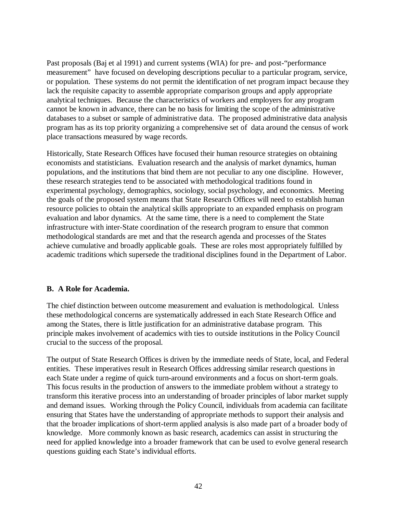Past proposals (Baj et al 1991) and current systems (WIA) for pre- and post-"performance measurement" have focused on developing descriptions peculiar to a particular program, service, or population. These systems do not permit the identification of net program impact because they lack the requisite capacity to assemble appropriate comparison groups and apply appropriate analytical techniques. Because the characteristics of workers and employers for any program cannot be known in advance, there can be no basis for limiting the scope of the administrative databases to a subset or sample of administrative data. The proposed administrative data analysis program has as its top priority organizing a comprehensive set of data around the census of work place transactions measured by wage records.

Historically, State Research Offices have focused their human resource strategies on obtaining economists and statisticians. Evaluation research and the analysis of market dynamics, human populations, and the institutions that bind them are not peculiar to any one discipline. However, these research strategies tend to be associated with methodological traditions found in experimental psychology, demographics, sociology, social psychology, and economics. Meeting the goals of the proposed system means that State Research Offices will need to establish human resource policies to obtain the analytical skills appropriate to an expanded emphasis on program evaluation and labor dynamics. At the same time, there is a need to complement the State infrastructure with inter-State coordination of the research program to ensure that common methodological standards are met and that the research agenda and processes of the States achieve cumulative and broadly applicable goals. These are roles most appropriately fulfilled by academic traditions which supersede the traditional disciplines found in the Department of Labor.

# **B. A Role for Academia.**

The chief distinction between outcome measurement and evaluation is methodological. Unless these methodological concerns are systematically addressed in each State Research Office and among the States, there is little justification for an administrative database program. This principle makes involvement of academics with ties to outside institutions in the Policy Council crucial to the success of the proposal.

The output of State Research Offices is driven by the immediate needs of State, local, and Federal entities. These imperatives result in Research Offices addressing similar research questions in each State under a regime of quick turn-around environments and a focus on short-term goals. This focus results in the production of answers to the immediate problem without a strategy to transform this iterative process into an understanding of broader principles of labor market supply and demand issues. Working through the Policy Council, individuals from academia can facilitate ensuring that States have the understanding of appropriate methods to support their analysis and that the broader implications of short-term applied analysis is also made part of a broader body of knowledge. More commonly known as basic research, academics can assist in structuring the need for applied knowledge into a broader framework that can be used to evolve general research questions guiding each State's individual efforts.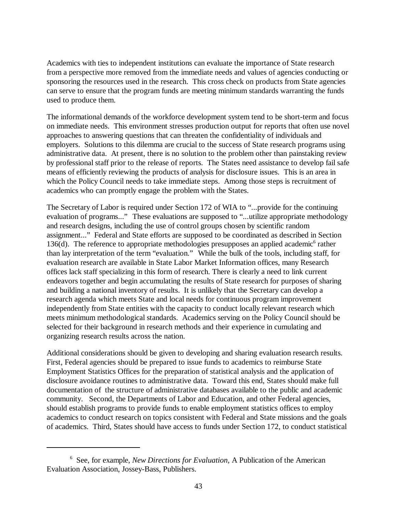Academics with ties to independent institutions can evaluate the importance of State research from a perspective more removed from the immediate needs and values of agencies conducting or sponsoring the resources used in the research. This cross check on products from State agencies can serve to ensure that the program funds are meeting minimum standards warranting the funds used to produce them.

The informational demands of the workforce development system tend to be short-term and focus on immediate needs. This environment stresses production output for reports that often use novel approaches to answering questions that can threaten the confidentiality of individuals and employers. Solutions to this dilemma are crucial to the success of State research programs using administrative data. At present, there is no solution to the problem other than painstaking review by professional staff prior to the release of reports. The States need assistance to develop fail safe means of efficiently reviewing the products of analysis for disclosure issues. This is an area in which the Policy Council needs to take immediate steps. Among those steps is recruitment of academics who can promptly engage the problem with the States.

The Secretary of Labor is required under Section 172 of WIA to "...provide for the continuing evaluation of programs..." These evaluations are supposed to "...utilize appropriate methodology and research designs, including the use of control groups chosen by scientific random assignment..." Federal and State efforts are supposed to be coordinated as described in Section 136(d). The reference to appropriate methodologies presupposes an applied academic<sup>6</sup> rather than lay interpretation of the term "evaluation." While the bulk of the tools, including staff, for evaluation research are available in State Labor Market Information offices, many Research offices lack staff specializing in this form of research. There is clearly a need to link current endeavors together and begin accumulating the results of State research for purposes of sharing and building a national inventory of results. It is unlikely that the Secretary can develop a research agenda which meets State and local needs for continuous program improvement independently from State entities with the capacity to conduct locally relevant research which meets minimum methodological standards. Academics serving on the Policy Council should be selected for their background in research methods and their experience in cumulating and organizing research results across the nation.

Additional considerations should be given to developing and sharing evaluation research results. First, Federal agencies should be prepared to issue funds to academics to reimburse State Employment Statistics Offices for the preparation of statistical analysis and the application of disclosure avoidance routines to administrative data. Toward this end, States should make full documentation of the structure of administrative databases available to the public and academic community. Second, the Departments of Labor and Education, and other Federal agencies, should establish programs to provide funds to enable employment statistics offices to employ academics to conduct research on topics consistent with Federal and State missions and the goals of academics. Third, States should have access to funds under Section 172, to conduct statistical

<sup>6</sup> See, for example, *New Directions for Evaluation,* A Publication of the American Evaluation Association, Jossey-Bass, Publishers.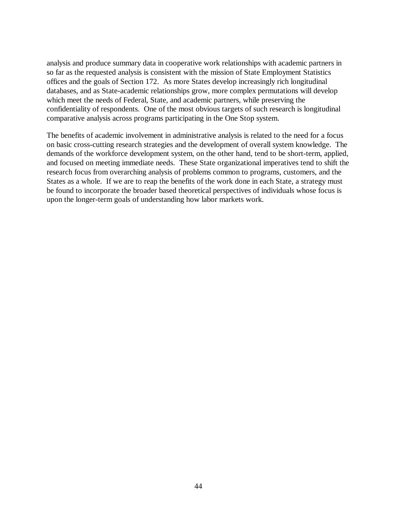analysis and produce summary data in cooperative work relationships with academic partners in so far as the requested analysis is consistent with the mission of State Employment Statistics offices and the goals of Section 172. As more States develop increasingly rich longitudinal databases, and as State-academic relationships grow, more complex permutations will develop which meet the needs of Federal, State, and academic partners, while preserving the confidentiality of respondents. One of the most obvious targets of such research is longitudinal comparative analysis across programs participating in the One Stop system.

The benefits of academic involvement in administrative analysis is related to the need for a focus on basic cross-cutting research strategies and the development of overall system knowledge. The demands of the workforce development system, on the other hand, tend to be short-term, applied, and focused on meeting immediate needs. These State organizational imperatives tend to shift the research focus from overarching analysis of problems common to programs, customers, and the States as a whole. If we are to reap the benefits of the work done in each State, a strategy must be found to incorporate the broader based theoretical perspectives of individuals whose focus is upon the longer-term goals of understanding how labor markets work.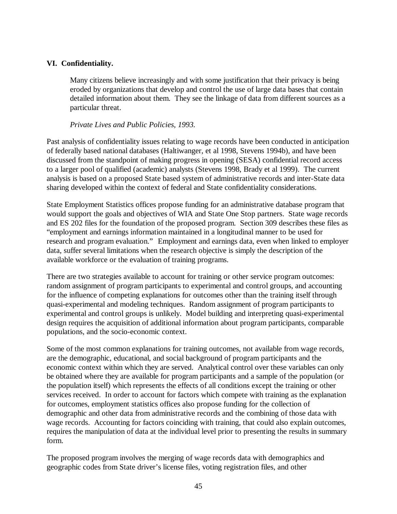# **VI. Confidentiality.**

Many citizens believe increasingly and with some justification that their privacy is being eroded by organizations that develop and control the use of large data bases that contain detailed information about them. They see the linkage of data from different sources as a particular threat.

# *Private Lives and Public Policies, 1993.*

Past analysis of confidentiality issues relating to wage records have been conducted in anticipation of federally based national databases (Haltiwanger, et al 1998, Stevens 1994b), and have been discussed from the standpoint of making progress in opening (SESA) confidential record access to a larger pool of qualified (academic) analysts (Stevens 1998, Brady et al 1999). The current analysis is based on a proposed State based system of administrative records and inter-State data sharing developed within the context of federal and State confidentiality considerations.

State Employment Statistics offices propose funding for an administrative database program that would support the goals and objectives of WIA and State One Stop partners. State wage records and ES 202 files for the foundation of the proposed program. Section 309 describes these files as "employment and earnings information maintained in a longitudinal manner to be used for research and program evaluation." Employment and earnings data, even when linked to employer data, suffer several limitations when the research objective is simply the description of the available workforce or the evaluation of training programs.

There are two strategies available to account for training or other service program outcomes: random assignment of program participants to experimental and control groups, and accounting for the influence of competing explanations for outcomes other than the training itself through quasi-experimental and modeling techniques. Random assignment of program participants to experimental and control groups is unlikely. Model building and interpreting quasi-experimental design requires the acquisition of additional information about program participants, comparable populations, and the socio-economic context.

Some of the most common explanations for training outcomes, not available from wage records, are the demographic, educational, and social background of program participants and the economic context within which they are served. Analytical control over these variables can only be obtained where they are available for program participants and a sample of the population (or the population itself) which represents the effects of all conditions except the training or other services received. In order to account for factors which compete with training as the explanation for outcomes, employment statistics offices also propose funding for the collection of demographic and other data from administrative records and the combining of those data with wage records. Accounting for factors coinciding with training, that could also explain outcomes, requires the manipulation of data at the individual level prior to presenting the results in summary form.

The proposed program involves the merging of wage records data with demographics and geographic codes from State driver's license files, voting registration files, and other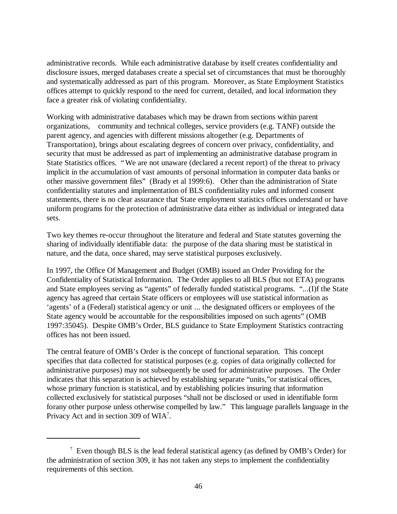administrative records. While each administrative database by itself creates confidentiality and disclosure issues, merged databases create a special set of circumstances that must be thoroughly and systematically addressed as part of this program. Moreover, as State Employment Statistics offices attempt to quickly respond to the need for current, detailed, and local information they face a greater risk of violating confidentiality.

Working with administrative databases which may be drawn from sections within parent organizations, community and technical colleges, service providers (e.g. TANF) outside the parent agency, and agencies with different missions altogether (e.g. Departments of Transportation), brings about escalating degrees of concern over privacy, confidentiality, and security that must be addressed as part of implementing an administrative database program in State Statistics offices. "We are not unaware (declared a recent report) of the threat to privacy implicit in the accumulation of vast amounts of personal information in computer data banks or other massive government files" (Brady et al 1999:6). Other than the administration of State confidentiality statutes and implementation of BLS confidentiality rules and informed consent statements, there is no clear assurance that State employment statistics offices understand or have uniform programs for the protection of administrative data either as individual or integrated data sets.

Two key themes re-occur throughout the literature and federal and State statutes governing the sharing of individually identifiable data: the purpose of the data sharing must be statistical in nature, and the data, once shared, may serve statistical purposes exclusively.

In 1997, the Office Of Management and Budget (OMB) issued an Order Providing for the Confidentiality of Statistical Information. The Order applies to all BLS (but not ETA) programs and State employees serving as "agents" of federally funded statistical programs. "...(I)f the State agency has agreed that certain State officers or employees will use statistical information as 'agents' of a (Federal) statistical agency or unit ... the designated officers or employees of the State agency would be accountable for the responsibilities imposed on such agents" (OMB 1997:35045). Despite OMB's Order, BLS guidance to State Employment Statistics contracting offices has not been issued.

The central feature of OMB's Order is the concept of functional separation. This concept specifies that data collected for statistical purposes (e.g. copies of data originally collected for administrative purposes) may not subsequently be used for administrative purposes. The Order indicates that this separation is achieved by establishing separate "units,"or statistical offices, whose primary function is statistical, and by establishing policies insuring that information collected exclusively for statistical purposes "shall not be disclosed or used in identifiable form forany other purpose unless otherwise compelled by law." This language parallels language in the Privacy Act and in section 309 of WIA<sup>7</sup>.

 $7$  Even though BLS is the lead federal statistical agency (as defined by OMB's Order) for the administration of section 309, it has not taken any steps to implement the confidentiality requirements of this section.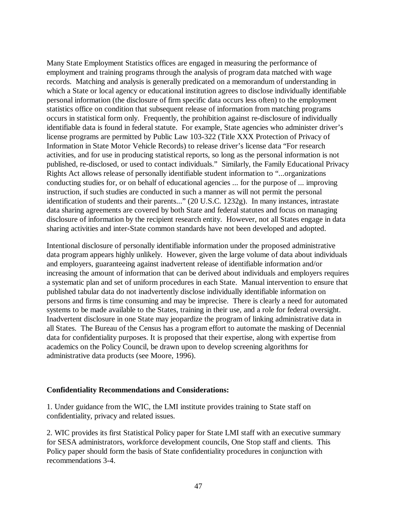Many State Employment Statistics offices are engaged in measuring the performance of employment and training programs through the analysis of program data matched with wage records. Matching and analysis is generally predicated on a memorandum of understanding in which a State or local agency or educational institution agrees to disclose individually identifiable personal information (the disclosure of firm specific data occurs less often) to the employment statistics office on condition that subsequent release of information from matching programs occurs in statistical form only. Frequently, the prohibition against re-disclosure of individually identifiable data is found in federal statute. For example, State agencies who administer driver's license programs are permitted by Public Law 103-322 (Title XXX Protection of Privacy of Information in State Motor Vehicle Records) to release driver's license data "For research activities, and for use in producing statistical reports, so long as the personal information is not published, re-disclosed, or used to contact individuals." Similarly, the Family Educational Privacy Rights Act allows release of personally identifiable student information to "...organizations conducting studies for, or on behalf of educational agencies ... for the purpose of ... improving instruction, if such studies are conducted in such a manner as will not permit the personal identification of students and their parents..." (20 U.S.C. 1232g). In many instances, intrastate data sharing agreements are covered by both State and federal statutes and focus on managing disclosure of information by the recipient research entity. However, not all States engage in data sharing activities and inter-State common standards have not been developed and adopted.

Intentional disclosure of personally identifiable information under the proposed administrative data program appears highly unlikely. However, given the large volume of data about individuals and employers, guaranteeing against inadvertent release of identifiable information and/or increasing the amount of information that can be derived about individuals and employers requires a systematic plan and set of uniform procedures in each State. Manual intervention to ensure that published tabular data do not inadvertently disclose individually identifiable information on persons and firms is time consuming and may be imprecise. There is clearly a need for automated systems to be made available to the States, training in their use, and a role for federal oversight. Inadvertent disclosure in one State may jeopardize the program of linking administrative data in all States. The Bureau of the Census has a program effort to automate the masking of Decennial data for confidentiality purposes. It is proposed that their expertise, along with expertise from academics on the Policy Council, be drawn upon to develop screening algorithms for administrative data products (see Moore, 1996).

#### **Confidentiality Recommendations and Considerations:**

1. Under guidance from the WIC, the LMI institute provides training to State staff on confidentiality, privacy and related issues.

2. WIC provides its first Statistical Policy paper for State LMI staff with an executive summary for SESA administrators, workforce development councils, One Stop staff and clients. This Policy paper should form the basis of State confidentiality procedures in conjunction with recommendations 3-4.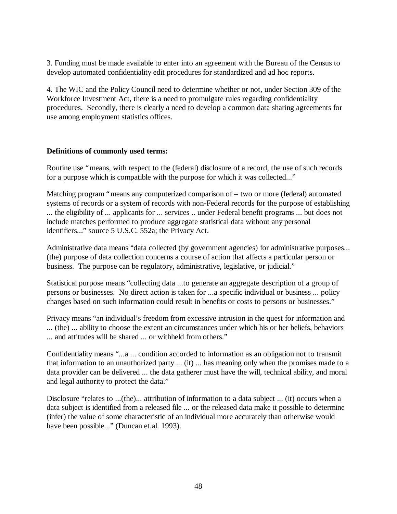3. Funding must be made available to enter into an agreement with the Bureau of the Census to develop automated confidentiality edit procedures for standardized and ad hoc reports.

4. The WIC and the Policy Council need to determine whether or not, under Section 309 of the Workforce Investment Act, there is a need to promulgate rules regarding confidentiality procedures. Secondly, there is clearly a need to develop a common data sharing agreements for use among employment statistics offices.

#### **Definitions of commonly used terms:**

Routine use "means, with respect to the (federal) disclosure of a record, the use of such records for a purpose which is compatible with the purpose for which it was collected..."

Matching program "means any computerized comparison of – two or more (federal) automated systems of records or a system of records with non-Federal records for the purpose of establishing ... the eligibility of ... applicants for ... services .. under Federal benefit programs ... but does not include matches performed to produce aggregate statistical data without any personal identifiers..." source 5 U.S.C. 552a; the Privacy Act.

Administrative data means "data collected (by government agencies) for administrative purposes... (the) purpose of data collection concerns a course of action that affects a particular person or business. The purpose can be regulatory, administrative, legislative, or judicial."

Statistical purpose means "collecting data ...to generate an aggregate description of a group of persons or businesses. No direct action is taken for ...a specific individual or business ... policy changes based on such information could result in benefits or costs to persons or businesses."

Privacy means "an individual's freedom from excessive intrusion in the quest for information and ... (the) ... ability to choose the extent an circumstances under which his or her beliefs, behaviors ... and attitudes will be shared ... or withheld from others."

Confidentiality means "...a ... condition accorded to information as an obligation not to transmit that information to an unauthorized party ... (it) ... has meaning only when the promises made to a data provider can be delivered ... the data gatherer must have the will, technical ability, and moral and legal authority to protect the data."

Disclosure "relates to ...(the)... attribution of information to a data subject ... (it) occurs when a data subject is identified from a released file ... or the released data make it possible to determine (infer) the value of some characteristic of an individual more accurately than otherwise would have been possible..." (Duncan et.al. 1993).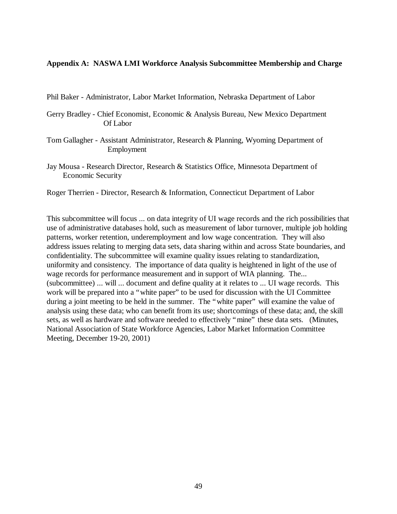#### **Appendix A: NASWA LMI Workforce Analysis Subcommittee Membership and Charge**

Phil Baker - Administrator, Labor Market Information, Nebraska Department of Labor

Gerry Bradley - Chief Economist, Economic & Analysis Bureau, New Mexico Department Of Labor

- Tom Gallagher Assistant Administrator, Research & Planning, Wyoming Department of Employment
- Jay Mousa Research Director, Research & Statistics Office, Minnesota Department of Economic Security

Roger Therrien - Director, Research & Information, Connecticut Department of Labor

This subcommittee will focus ... on data integrity of UI wage records and the rich possibilities that use of administrative databases hold, such as measurement of labor turnover, multiple job holding patterns, worker retention, underemployment and low wage concentration. They will also address issues relating to merging data sets, data sharing within and across State boundaries, and confidentiality. The subcommittee will examine quality issues relating to standardization, uniformity and consistency. The importance of data quality is heightened in light of the use of wage records for performance measurement and in support of WIA planning. The... (subcommittee) ... will ... document and define quality at it relates to ... UI wage records. This work will be prepared into a "white paper" to be used for discussion with the UI Committee during a joint meeting to be held in the summer. The "white paper" will examine the value of analysis using these data; who can benefit from its use; shortcomings of these data; and, the skill sets, as well as hardware and software needed to effectively "mine" these data sets. (Minutes, National Association of State Workforce Agencies, Labor Market Information Committee Meeting, December 19-20, 2001)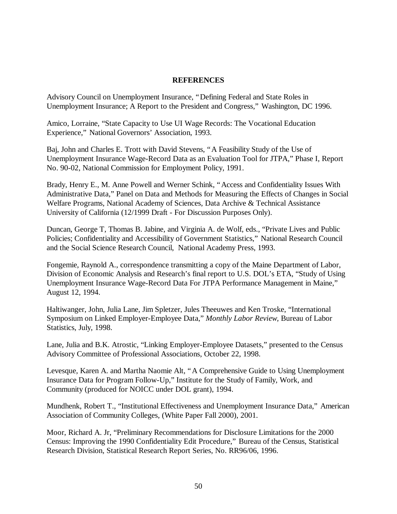#### **REFERENCES**

Advisory Council on Unemployment Insurance, "Defining Federal and State Roles in Unemployment Insurance; A Report to the President and Congress," Washington, DC 1996.

Amico, Lorraine, "State Capacity to Use UI Wage Records: The Vocational Education Experience," National Governors' Association, 1993.

Baj, John and Charles E. Trott with David Stevens, "A Feasibility Study of the Use of Unemployment Insurance Wage-Record Data as an Evaluation Tool for JTPA," Phase I, Report No. 90-02, National Commission for Employment Policy, 1991.

Brady, Henry E., M. Anne Powell and Werner Schink, "Access and Confidentiality Issues With Administrative Data," Panel on Data and Methods for Measuring the Effects of Changes in Social Welfare Programs, National Academy of Sciences, Data Archive & Technical Assistance University of California (12/1999 Draft - For Discussion Purposes Only).

Duncan, George T, Thomas B. Jabine, and Virginia A. de Wolf, eds., "Private Lives and Public Policies; Confidentiality and Accessibility of Government Statistics," National Research Council and the Social Science Research Council, National Academy Press, 1993.

Fongemie, Raynold A., correspondence transmitting a copy of the Maine Department of Labor, Division of Economic Analysis and Research's final report to U.S. DOL's ETA, "Study of Using Unemployment Insurance Wage-Record Data For JTPA Performance Management in Maine," August 12, 1994.

Haltiwanger, John, Julia Lane, Jim Spletzer, Jules Theeuwes and Ken Troske, "International Symposium on Linked Employer-Employee Data," *Monthly Labor Review,* Bureau of Labor Statistics, July, 1998.

Lane, Julia and B.K. Atrostic, "Linking Employer-Employee Datasets," presented to the Census Advisory Committee of Professional Associations, October 22, 1998.

Levesque, Karen A. and Martha Naomie Alt, "A Comprehensive Guide to Using Unemployment Insurance Data for Program Follow-Up," Institute for the Study of Family, Work, and Community (produced for NOICC under DOL grant), 1994.

Mundhenk, Robert T., "Institutional Effectiveness and Unemployment Insurance Data," American Association of Community Colleges, (White Paper Fall 2000), 2001.

Moor, Richard A. Jr, "Preliminary Recommendations for Disclosure Limitations for the 2000 Census: Improving the 1990 Confidentiality Edit Procedure," Bureau of the Census, Statistical Research Division, Statistical Research Report Series, No. RR96/06, 1996.